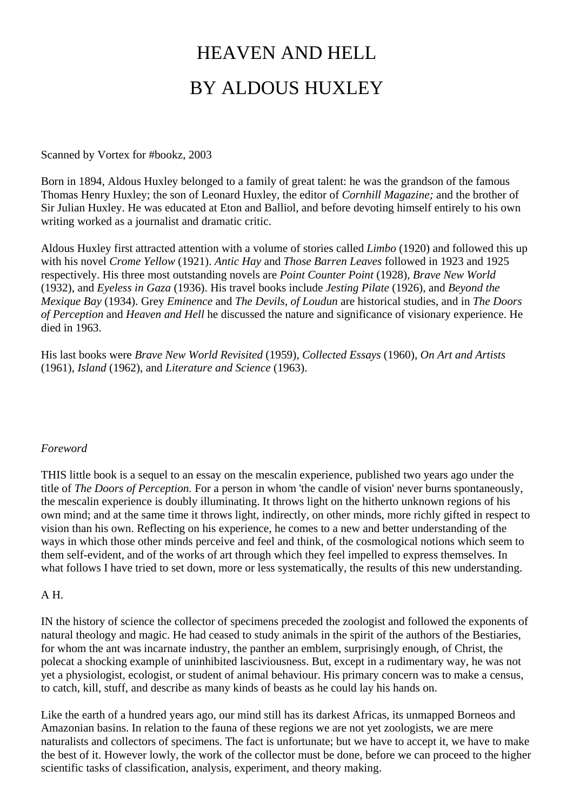# HEAVEN AND HELL BY ALDOUS HUXLEY

#### Scanned by Vortex for #bookz, 2003

Born in 1894, Aldous Huxley belonged to a family of great talent: he was the grandson of the famous Thomas Henry Huxley; the son of Leonard Huxley, the editor of *Cornhill Magazine;* and the brother of Sir Julian Huxley. He was educated at Eton and Balliol, and before devoting himself entirely to his own writing worked as a journalist and dramatic critic.

Aldous Huxley first attracted attention with a volume of stories called *Limbo* (1920) and followed this up with his novel *Crome Yellow* (1921). *Antic Hay* and *Those Barren Leaves* followed in 1923 and 1925 respectively. His three most outstanding novels are *Point Counter Point* (1928), *Brave New World*  (1932), and *Eyeless in Gaza* (1936). His travel books include *Jesting Pilate* (1926), and *Beyond the Mexique Bay* (1934). Grey *Eminence* and *The Devils, of Loudun* are historical studies, and in *The Doors of Perception* and *Heaven and Hell* he discussed the nature and significance of visionary experience. He died in 1963.

His last books were *Brave New World Revisited* (1959), *Collected Essays* (1960), *On Art and Artists*  (1961), *Island* (1962), and *Literature and Science* (1963).

# *Foreword*

THIS little book is a sequel to an essay on the mescalin experience, published two years ago under the title of *The Doors of Perception.* For a person in whom 'the candle of vision' never burns spontaneously, the mescalin experience is doubly illuminating. It throws light on the hitherto unknown regions of his own mind; and at the same time it throws light, indirectly, on other minds, more richly gifted in respect to vision than his own. Reflecting on his experience, he comes to a new and better understanding of the ways in which those other minds perceive and feel and think, of the cosmological notions which seem to them self-evident, and of the works of art through which they feel impelled to express themselves. In what follows I have tried to set down, more or less systematically, the results of this new understanding.

# A H.

IN the history of science the collector of specimens preceded the zoologist and followed the exponents of natural theology and magic. He had ceased to study animals in the spirit of the authors of the Bestiaries, for whom the ant was incarnate industry, the panther an emblem, surprisingly enough, of Christ, the polecat a shocking example of uninhibited lasciviousness. But, except in a rudimentary way, he was not yet a physiologist, ecologist, or student of animal behaviour. His primary concern was to make a census, to catch, kill, stuff, and describe as many kinds of beasts as he could lay his hands on.

Like the earth of a hundred years ago, our mind still has its darkest Africas, its unmapped Borneos and Amazonian basins. In relation to the fauna of these regions we are not yet zoologists, we are mere naturalists and collectors of specimens. The fact is unfortunate; but we have to accept it, we have to make the best of it. However lowly, the work of the collector must be done, before we can proceed to the higher scientific tasks of classification, analysis, experiment, and theory making.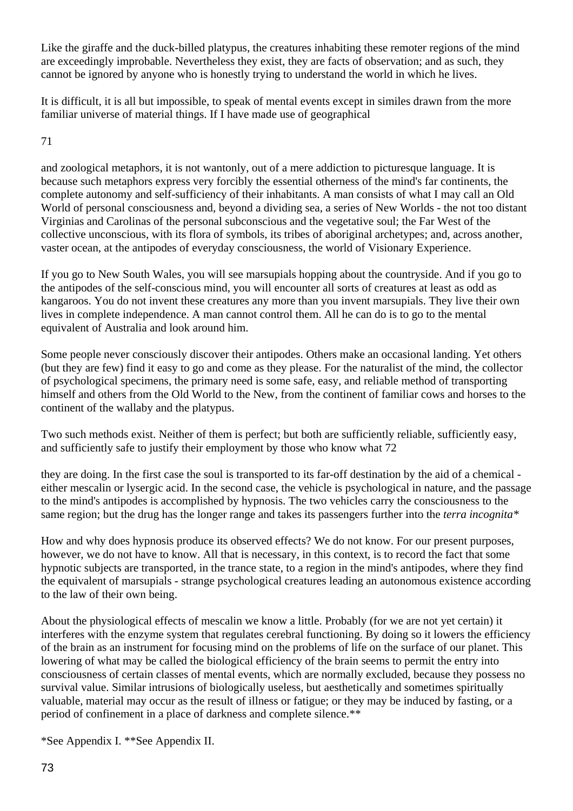Like the giraffe and the duck-billed platypus, the creatures inhabiting these remoter regions of the mind are exceedingly improbable. Nevertheless they exist, they are facts of observation; and as such, they cannot be ignored by anyone who is honestly trying to understand the world in which he lives.

It is difficult, it is all but impossible, to speak of mental events except in similes drawn from the more familiar universe of material things. If I have made use of geographical

71

and zoological metaphors, it is not wantonly, out of a mere addiction to picturesque language. It is because such metaphors express very forcibly the essential otherness of the mind's far continents, the complete autonomy and self-sufficiency of their inhabitants. A man consists of what I may call an Old World of personal consciousness and, beyond a dividing sea, a series of New Worlds - the not too distant Virginias and Carolinas of the personal subconscious and the vegetative soul; the Far West of the collective unconscious, with its flora of symbols, its tribes of aboriginal archetypes; and, across another, vaster ocean, at the antipodes of everyday consciousness, the world of Visionary Experience.

If you go to New South Wales, you will see marsupials hopping about the countryside. And if you go to the antipodes of the self-conscious mind, you will encounter all sorts of creatures at least as odd as kangaroos. You do not invent these creatures any more than you invent marsupials. They live their own lives in complete independence. A man cannot control them. All he can do is to go to the mental equivalent of Australia and look around him.

Some people never consciously discover their antipodes. Others make an occasional landing. Yet others (but they are few) find it easy to go and come as they please. For the naturalist of the mind, the collector of psychological specimens, the primary need is some safe, easy, and reliable method of transporting himself and others from the Old World to the New, from the continent of familiar cows and horses to the continent of the wallaby and the platypus.

Two such methods exist. Neither of them is perfect; but both are sufficiently reliable, sufficiently easy, and sufficiently safe to justify their employment by those who know what 72

they are doing. In the first case the soul is transported to its far-off destination by the aid of a chemical either mescalin or lysergic acid. In the second case, the vehicle is psychological in nature, and the passage to the mind's antipodes is accomplished by hypnosis. The two vehicles carry the consciousness to the same region; but the drug has the longer range and takes its passengers further into the *terra incognita\**

How and why does hypnosis produce its observed effects? We do not know. For our present purposes, however, we do not have to know. All that is necessary, in this context, is to record the fact that some hypnotic subjects are transported, in the trance state, to a region in the mind's antipodes, where they find the equivalent of marsupials - strange psychological creatures leading an autonomous existence according to the law of their own being.

About the physiological effects of mescalin we know a little. Probably (for we are not yet certain) it interferes with the enzyme system that regulates cerebral functioning. By doing so it lowers the efficiency of the brain as an instrument for focusing mind on the problems of life on the surface of our planet. This lowering of what may be called the biological efficiency of the brain seems to permit the entry into consciousness of certain classes of mental events, which are normally excluded, because they possess no survival value. Similar intrusions of biologically useless, but aesthetically and sometimes spiritually valuable, material may occur as the result of illness or fatigue; or they may be induced by fasting, or a period of confinement in a place of darkness and complete silence.\*\*

\*See Appendix I. \*\*See Appendix II.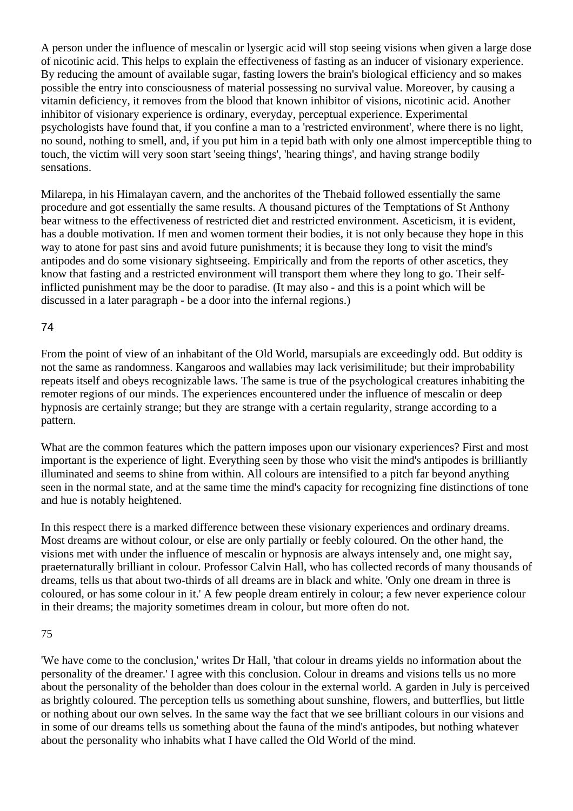A person under the influence of mescalin or lysergic acid will stop seeing visions when given a large dose of nicotinic acid. This helps to explain the effectiveness of fasting as an inducer of visionary experience. By reducing the amount of available sugar, fasting lowers the brain's biological efficiency and so makes possible the entry into consciousness of material possessing no survival value. Moreover, by causing a vitamin deficiency, it removes from the blood that known inhibitor of visions, nicotinic acid. Another inhibitor of visionary experience is ordinary, everyday, perceptual experience. Experimental psychologists have found that, if you confine a man to a 'restricted environment', where there is no light, no sound, nothing to smell, and, if you put him in a tepid bath with only one almost imperceptible thing to touch, the victim will very soon start 'seeing things', 'hearing things', and having strange bodily sensations.

Milarepa, in his Himalayan cavern, and the anchorites of the Thebaid followed essentially the same procedure and got essentially the same results. A thousand pictures of the Temptations of St Anthony bear witness to the effectiveness of restricted diet and restricted environment. Asceticism, it is evident, has a double motivation. If men and women torment their bodies, it is not only because they hope in this way to atone for past sins and avoid future punishments; it is because they long to visit the mind's antipodes and do some visionary sightseeing. Empirically and from the reports of other ascetics, they know that fasting and a restricted environment will transport them where they long to go. Their selfinflicted punishment may be the door to paradise. (It may also - and this is a point which will be discussed in a later paragraph - be a door into the infernal regions.)

# 74

From the point of view of an inhabitant of the Old World, marsupials are exceedingly odd. But oddity is not the same as randomness. Kangaroos and wallabies may lack verisimilitude; but their improbability repeats itself and obeys recognizable laws. The same is true of the psychological creatures inhabiting the remoter regions of our minds. The experiences encountered under the influence of mescalin or deep hypnosis are certainly strange; but they are strange with a certain regularity, strange according to a pattern.

What are the common features which the pattern imposes upon our visionary experiences? First and most important is the experience of light. Everything seen by those who visit the mind's antipodes is brilliantly illuminated and seems to shine from within. All colours are intensified to a pitch far beyond anything seen in the normal state, and at the same time the mind's capacity for recognizing fine distinctions of tone and hue is notably heightened.

In this respect there is a marked difference between these visionary experiences and ordinary dreams. Most dreams are without colour, or else are only partially or feebly coloured. On the other hand, the visions met with under the influence of mescalin or hypnosis are always intensely and, one might say, praeternaturally brilliant in colour. Professor Calvin Hall, who has collected records of many thousands of dreams, tells us that about two-thirds of all dreams are in black and white. 'Only one dream in three is coloured, or has some colour in it.' A few people dream entirely in colour; a few never experience colour in their dreams; the majority sometimes dream in colour, but more often do not.

#### 75

'We have come to the conclusion,' writes Dr Hall, 'that colour in dreams yields no information about the personality of the dreamer.' I agree with this conclusion. Colour in dreams and visions tells us no more about the personality of the beholder than does colour in the external world. A garden in July is perceived as brightly coloured. The perception tells us something about sunshine, flowers, and butterflies, but little or nothing about our own selves. In the same way the fact that we see brilliant colours in our visions and in some of our dreams tells us something about the fauna of the mind's antipodes, but nothing whatever about the personality who inhabits what I have called the Old World of the mind.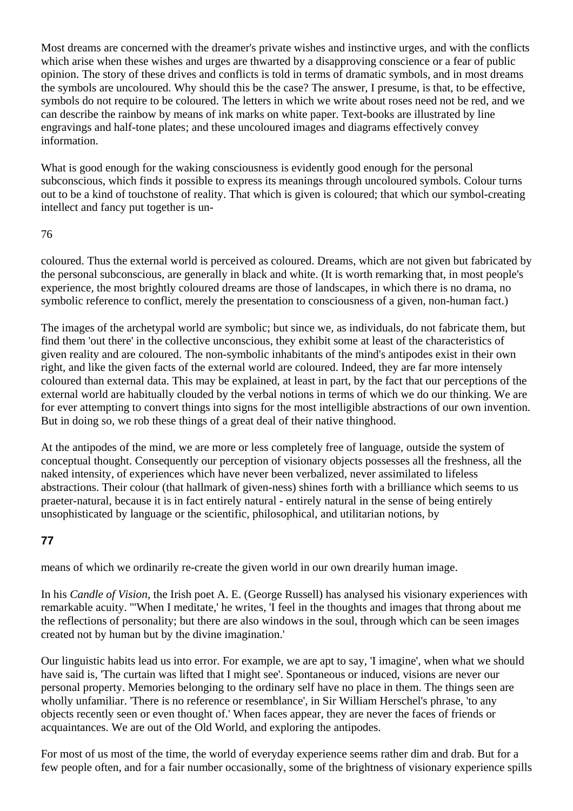Most dreams are concerned with the dreamer's private wishes and instinctive urges, and with the conflicts which arise when these wishes and urges are thwarted by a disapproving conscience or a fear of public opinion. The story of these drives and conflicts is told in terms of dramatic symbols, and in most dreams the symbols are uncoloured. Why should this be the case? The answer, I presume, is that, to be effective, symbols do not require to be coloured. The letters in which we write about roses need not be red, and we can describe the rainbow by means of ink marks on white paper. Text-books are illustrated by line engravings and half-tone plates; and these uncoloured images and diagrams effectively convey information.

What is good enough for the waking consciousness is evidently good enough for the personal subconscious, which finds it possible to express its meanings through uncoloured symbols. Colour turns out to be a kind of touchstone of reality. That which is given is coloured; that which our symbol-creating intellect and fancy put together is un-

#### 76

coloured. Thus the external world is perceived as coloured. Dreams, which are not given but fabricated by the personal subconscious, are generally in black and white. (It is worth remarking that, in most people's experience, the most brightly coloured dreams are those of landscapes, in which there is no drama, no symbolic reference to conflict, merely the presentation to consciousness of a given, non-human fact.)

The images of the archetypal world are symbolic; but since we, as individuals, do not fabricate them, but find them 'out there' in the collective unconscious, they exhibit some at least of the characteristics of given reality and are coloured. The non-symbolic inhabitants of the mind's antipodes exist in their own right, and like the given facts of the external world are coloured. Indeed, they are far more intensely coloured than external data. This may be explained, at least in part, by the fact that our perceptions of the external world are habitually clouded by the verbal notions in terms of which we do our thinking. We are for ever attempting to convert things into signs for the most intelligible abstractions of our own invention. But in doing so, we rob these things of a great deal of their native thinghood.

At the antipodes of the mind, we are more or less completely free of language, outside the system of conceptual thought. Consequently our perception of visionary objects possesses all the freshness, all the naked intensity, of experiences which have never been verbalized, never assimilated to lifeless abstractions. Their colour (that hallmark of given-ness) shines forth with a brilliance which seems to us praeter-natural, because it is in fact entirely natural - entirely natural in the sense of being entirely unsophisticated by language or the scientific, philosophical, and utilitarian notions, by

# **77**

means of which we ordinarily re-create the given world in our own drearily human image.

In his *Candle of Vision,* the Irish poet A. E. (George Russell) has analysed his visionary experiences with remarkable acuity. '"When I meditate,' he writes, 'I feel in the thoughts and images that throng about me the reflections of personality; but there are also windows in the soul, through which can be seen images created not by human but by the divine imagination.'

Our linguistic habits lead us into error. For example, we are apt to say, 'I imagine', when what we should have said is, 'The curtain was lifted that I might see'. Spontaneous or induced, visions are never our personal property. Memories belonging to the ordinary self have no place in them. The things seen are wholly unfamiliar. 'There is no reference or resemblance', in Sir William Herschel's phrase, 'to any objects recently seen or even thought of.' When faces appear, they are never the faces of friends or acquaintances. We are out of the Old World, and exploring the antipodes.

For most of us most of the time, the world of everyday experience seems rather dim and drab. But for a few people often, and for a fair number occasionally, some of the brightness of visionary experience spills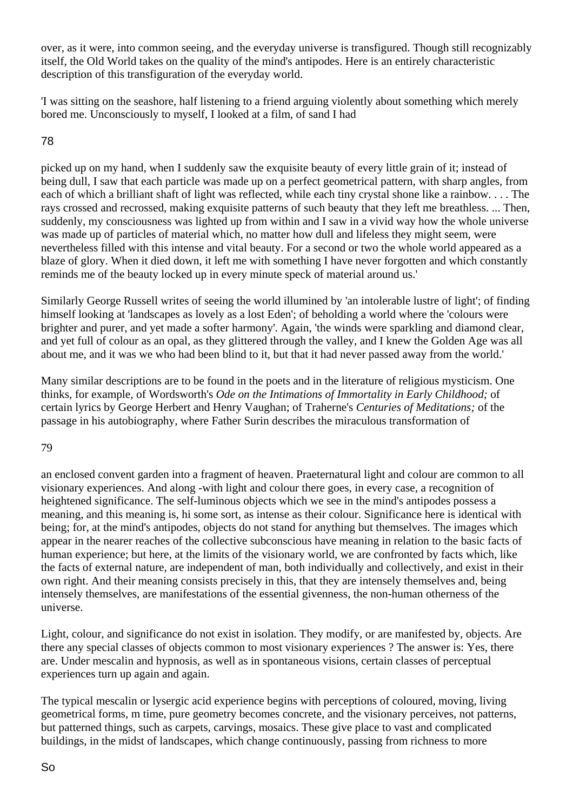over, as it were, into common seeing, and the everyday universe is transfigured. Though still recognizably itself, the Old World takes on the quality of the mind's antipodes. Here is an entirely characteristic description of this transfiguration of the everyday world.

'I was sitting on the seashore, half listening to a friend arguing violently about something which merely bored me. Unconsciously to myself, I looked at a film, of sand I had

# 78

picked up on my hand, when I suddenly saw the exquisite beauty of every little grain of it; instead of being dull, I saw that each particle was made up on a perfect geometrical pattern, with sharp angles, from each of which a brilliant shaft of light was reflected, while each tiny crystal shone like a rainbow. . . . The rays crossed and recrossed, making exquisite patterns of such beauty that they left me breathless. ... Then, suddenly, my consciousness was lighted up from within and I saw in a vivid way how the whole universe was made up of particles of material which, no matter how dull and lifeless they might seem, were nevertheless filled with this intense and vital beauty. For a second or two the whole world appeared as a blaze of glory. When it died down, it left me with something I have never forgotten and which constantly reminds me of the beauty locked up in every minute speck of material around us.'

Similarly George Russell writes of seeing the world illumined by 'an intolerable lustre of light'; of finding himself looking at 'landscapes as lovely as a lost Eden'; of beholding a world where the 'colours were brighter and purer, and yet made a softer harmony'. Again, 'the winds were sparkling and diamond clear, and yet full of colour as an opal, as they glittered through the valley, and I knew the Golden Age was all about me, and it was we who had been blind to it, but that it had never passed away from the world.'

Many similar descriptions are to be found in the poets and in the literature of religious mysticism. One thinks, for example, of Wordsworth's *Ode on the Intimations of Immortality in Early Childhood;* of certain lyrics by George Herbert and Henry Vaughan; of Traherne's *Centuries of Meditations;* of the passage in his autobiography, where Father Surin describes the miraculous transformation of

# 79

an enclosed convent garden into a fragment of heaven. Praeternatural light and colour are common to all visionary experiences. And along -with light and colour there goes, in every case, a recognition of heightened significance. The self-luminous objects which we see in the mind's antipodes possess a meaning, and this meaning is, hi some sort, as intense as their colour. Significance here is identical with being; for, at the mind's antipodes, objects do not stand for anything but themselves. The images which appear in the nearer reaches of the collective subconscious have meaning in relation to the basic facts of human experience; but here, at the limits of the visionary world, we are confronted by facts which, like the facts of external nature, are independent of man, both individually and collectively, and exist in their own right. And their meaning consists precisely in this, that they are intensely themselves and, being intensely themselves, are manifestations of the essential givenness, the non-human otherness of the universe.

Light, colour, and significance do not exist in isolation. They modify, or are manifested by, objects. Are there any special classes of objects common to most visionary experiences ? The answer is: Yes, there are. Under mescalin and hypnosis, as well as in spontaneous visions, certain classes of perceptual experiences turn up again and again.

The typical mescalin or lysergic acid experience begins with perceptions of coloured, moving, living geometrical forms, m time, pure geometry becomes concrete, and the visionary perceives, not patterns, but patterned things, such as carpets, carvings, mosaics. These give place to vast and complicated buildings, in the midst of landscapes, which change continuously, passing from richness to more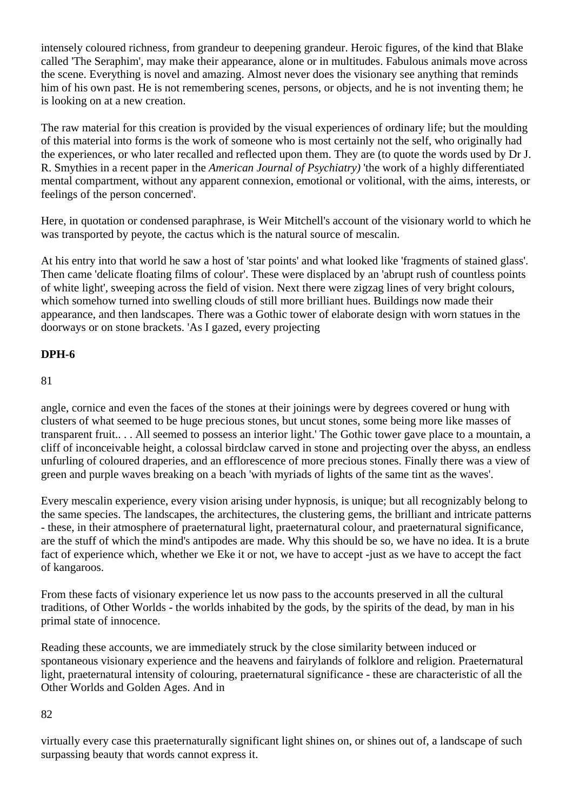intensely coloured richness, from grandeur to deepening grandeur. Heroic figures, of the kind that Blake called 'The Seraphim', may make their appearance, alone or in multitudes. Fabulous animals move across the scene. Everything is novel and amazing. Almost never does the visionary see anything that reminds him of his own past. He is not remembering scenes, persons, or objects, and he is not inventing them; he is looking on at a new creation.

The raw material for this creation is provided by the visual experiences of ordinary life; but the moulding of this material into forms is the work of someone who is most certainly not the self, who originally had the experiences, or who later recalled and reflected upon them. They are (to quote the words used by Dr J. R. Smythies in a recent paper in the *American Journal of Psychiatry)* 'the work of a highly differentiated mental compartment, without any apparent connexion, emotional or volitional, with the aims, interests, or feelings of the person concerned'.

Here, in quotation or condensed paraphrase, is Weir Mitchell's account of the visionary world to which he was transported by peyote, the cactus which is the natural source of mescalin.

At his entry into that world he saw a host of 'star points' and what looked like 'fragments of stained glass'. Then came 'delicate floating films of colour'. These were displaced by an 'abrupt rush of countless points of white light', sweeping across the field of vision. Next there were zigzag lines of very bright colours, which somehow turned into swelling clouds of still more brilliant hues. Buildings now made their appearance, and then landscapes. There was a Gothic tower of elaborate design with worn statues in the doorways or on stone brackets. 'As I gazed, every projecting

# **DPH-6**

# 81

angle, cornice and even the faces of the stones at their joinings were by degrees covered or hung with clusters of what seemed to be huge precious stones, but uncut stones, some being more like masses of transparent fruit.. . . All seemed to possess an interior light.' The Gothic tower gave place to a mountain, a cliff of inconceivable height, a colossal birdclaw carved in stone and projecting over the abyss, an endless unfurling of coloured draperies, and an efflorescence of more precious stones. Finally there was a view of green and purple waves breaking on a beach 'with myriads of lights of the same tint as the waves'.

Every mescalin experience, every vision arising under hypnosis, is unique; but all recognizably belong to the same species. The landscapes, the architectures, the clustering gems, the brilliant and intricate patterns - these, in their atmosphere of praeternatural light, praeternatural colour, and praeternatural significance, are the stuff of which the mind's antipodes are made. Why this should be so, we have no idea. It is a brute fact of experience which, whether we Eke it or not, we have to accept -just as we have to accept the fact of kangaroos.

From these facts of visionary experience let us now pass to the accounts preserved in all the cultural traditions, of Other Worlds - the worlds inhabited by the gods, by the spirits of the dead, by man in his primal state of innocence.

Reading these accounts, we are immediately struck by the close similarity between induced or spontaneous visionary experience and the heavens and fairylands of folklore and religion. Praeternatural light, praeternatural intensity of colouring, praeternatural significance - these are characteristic of all the Other Worlds and Golden Ages. And in

# 82

virtually every case this praeternaturally significant light shines on, or shines out of, a landscape of such surpassing beauty that words cannot express it.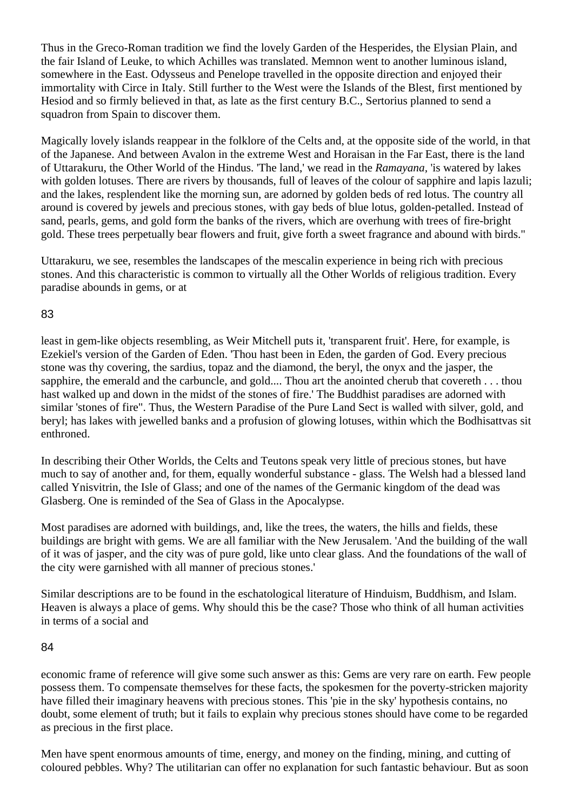Thus in the Greco-Roman tradition we find the lovely Garden of the Hesperides, the Elysian Plain, and the fair Island of Leuke, to which Achilles was translated. Memnon went to another luminous island, somewhere in the East. Odysseus and Penelope travelled in the opposite direction and enjoyed their immortality with Circe in Italy. Still further to the West were the Islands of the Blest, first mentioned by Hesiod and so firmly believed in that, as late as the first century B.C., Sertorius planned to send a squadron from Spain to discover them.

Magically lovely islands reappear in the folklore of the Celts and, at the opposite side of the world, in that of the Japanese. And between Avalon in the extreme West and Horaisan in the Far East, there is the land of Uttarakuru, the Other World of the Hindus. 'The land,' we read in the *Ramayana,* 'is watered by lakes with golden lotuses. There are rivers by thousands, full of leaves of the colour of sapphire and lapis lazuli; and the lakes, resplendent like the morning sun, are adorned by golden beds of red lotus. The country all around is covered by jewels and precious stones, with gay beds of blue lotus, golden-petalled. Instead of sand, pearls, gems, and gold form the banks of the rivers, which are overhung with trees of fire-bright gold. These trees perpetually bear flowers and fruit, give forth a sweet fragrance and abound with birds."

Uttarakuru, we see, resembles the landscapes of the mescalin experience in being rich with precious stones. And this characteristic is common to virtually all the Other Worlds of religious tradition. Every paradise abounds in gems, or at

# 83

least in gem-like objects resembling, as Weir Mitchell puts it, 'transparent fruit'. Here, for example, is Ezekiel's version of the Garden of Eden. 'Thou hast been in Eden, the garden of God. Every precious stone was thy covering, the sardius, topaz and the diamond, the beryl, the onyx and the jasper, the sapphire, the emerald and the carbuncle, and gold.... Thou art the anointed cherub that covereth . . . thou hast walked up and down in the midst of the stones of fire.' The Buddhist paradises are adorned with similar 'stones of fire". Thus, the Western Paradise of the Pure Land Sect is walled with silver, gold, and beryl; has lakes with jewelled banks and a profusion of glowing lotuses, within which the Bodhisattvas sit enthroned.

In describing their Other Worlds, the Celts and Teutons speak very little of precious stones, but have much to say of another and, for them, equally wonderful substance - glass. The Welsh had a blessed land called Ynisvitrin, the Isle of Glass; and one of the names of the Germanic kingdom of the dead was Glasberg. One is reminded of the Sea of Glass in the Apocalypse.

Most paradises are adorned with buildings, and, like the trees, the waters, the hills and fields, these buildings are bright with gems. We are all familiar with the New Jerusalem. 'And the building of the wall of it was of jasper, and the city was of pure gold, like unto clear glass. And the foundations of the wall of the city were garnished with all manner of precious stones.'

Similar descriptions are to be found in the eschatological literature of Hinduism, Buddhism, and Islam. Heaven is always a place of gems. Why should this be the case? Those who think of all human activities in terms of a social and

#### 84

economic frame of reference will give some such answer as this: Gems are very rare on earth. Few people possess them. To compensate themselves for these facts, the spokesmen for the poverty-stricken majority have filled their imaginary heavens with precious stones. This 'pie in the sky' hypothesis contains, no doubt, some element of truth; but it fails to explain why precious stones should have come to be regarded as precious in the first place.

Men have spent enormous amounts of time, energy, and money on the finding, mining, and cutting of coloured pebbles. Why? The utilitarian can offer no explanation for such fantastic behaviour. But as soon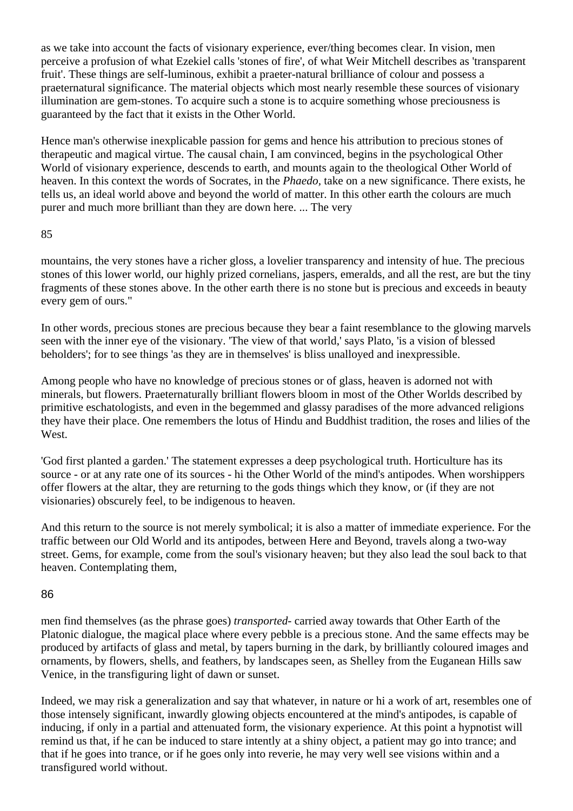as we take into account the facts of visionary experience, ever/thing becomes clear. In vision, men perceive a profusion of what Ezekiel calls 'stones of fire', of what Weir Mitchell describes as 'transparent fruit'. These things are self-luminous, exhibit a praeter-natural brilliance of colour and possess a praeternatural significance. The material objects which most nearly resemble these sources of visionary illumination are gem-stones. To acquire such a stone is to acquire something whose preciousness is guaranteed by the fact that it exists in the Other World.

Hence man's otherwise inexplicable passion for gems and hence his attribution to precious stones of therapeutic and magical virtue. The causal chain, I am convinced, begins in the psychological Other World of visionary experience, descends to earth, and mounts again to the theological Other World of heaven. In this context the words of Socrates, in the *Phaedo,* take on a new significance. There exists, he tells us, an ideal world above and beyond the world of matter. In this other earth the colours are much purer and much more brilliant than they are down here. ... The very

#### 85

mountains, the very stones have a richer gloss, a lovelier transparency and intensity of hue. The precious stones of this lower world, our highly prized cornelians, jaspers, emeralds, and all the rest, are but the tiny fragments of these stones above. In the other earth there is no stone but is precious and exceeds in beauty every gem of ours."

In other words, precious stones are precious because they bear a faint resemblance to the glowing marvels seen with the inner eye of the visionary. 'The view of that world,' says Plato, 'is a vision of blessed beholders'; for to see things 'as they are in themselves' is bliss unalloyed and inexpressible.

Among people who have no knowledge of precious stones or of glass, heaven is adorned not with minerals, but flowers. Praeternaturally brilliant flowers bloom in most of the Other Worlds described by primitive eschatologists, and even in the begemmed and glassy paradises of the more advanced religions they have their place. One remembers the lotus of Hindu and Buddhist tradition, the roses and lilies of the West.

'God first planted a garden.' The statement expresses a deep psychological truth. Horticulture has its source - or at any rate one of its sources - hi the Other World of the mind's antipodes. When worshippers offer flowers at the altar, they are returning to the gods things which they know, or (if they are not visionaries) obscurely feel, to be indigenous to heaven.

And this return to the source is not merely symbolical; it is also a matter of immediate experience. For the traffic between our Old World and its antipodes, between Here and Beyond, travels along a two-way street. Gems, for example, come from the soul's visionary heaven; but they also lead the soul back to that heaven. Contemplating them,

# 86

men find themselves (as the phrase goes) *transported-* carried away towards that Other Earth of the Platonic dialogue, the magical place where every pebble is a precious stone. And the same effects may be produced by artifacts of glass and metal, by tapers burning in the dark, by brilliantly coloured images and ornaments, by flowers, shells, and feathers, by landscapes seen, as Shelley from the Euganean Hills saw Venice, in the transfiguring light of dawn or sunset.

Indeed, we may risk a generalization and say that whatever, in nature or hi a work of art, resembles one of those intensely significant, inwardly glowing objects encountered at the mind's antipodes, is capable of inducing, if only in a partial and attenuated form, the visionary experience. At this point a hypnotist will remind us that, if he can be induced to stare intently at a shiny object, a patient may go into trance; and that if he goes into trance, or if he goes only into reverie, he may very well see visions within and a transfigured world without.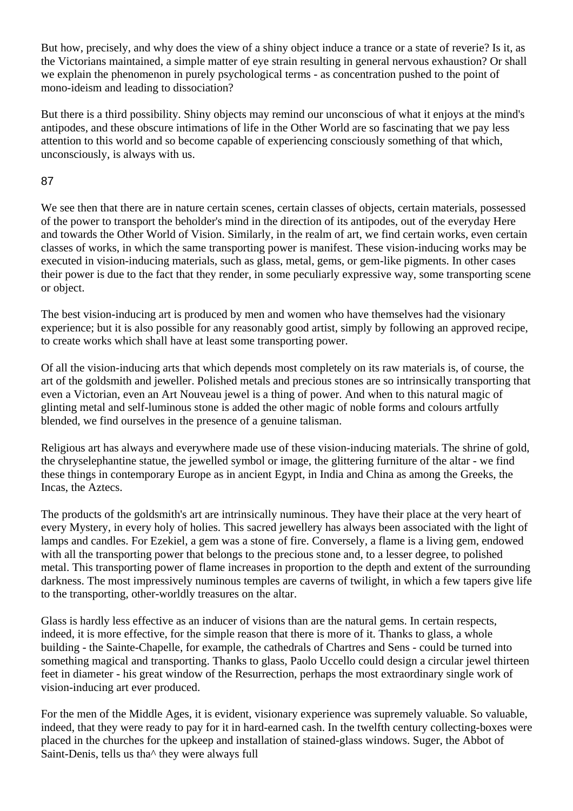But how, precisely, and why does the view of a shiny object induce a trance or a state of reverie? Is it, as the Victorians maintained, a simple matter of eye strain resulting in general nervous exhaustion? Or shall we explain the phenomenon in purely psychological terms - as concentration pushed to the point of mono-ideism and leading to dissociation?

But there is a third possibility. Shiny objects may remind our unconscious of what it enjoys at the mind's antipodes, and these obscure intimations of life in the Other World are so fascinating that we pay less attention to this world and so become capable of experiencing consciously something of that which, unconsciously, is always with us.

# 87

We see then that there are in nature certain scenes, certain classes of objects, certain materials, possessed of the power to transport the beholder's mind in the direction of its antipodes, out of the everyday Here and towards the Other World of Vision. Similarly, in the realm of art, we find certain works, even certain classes of works, in which the same transporting power is manifest. These vision-inducing works may be executed in vision-inducing materials, such as glass, metal, gems, or gem-like pigments. In other cases their power is due to the fact that they render, in some peculiarly expressive way, some transporting scene or object.

The best vision-inducing art is produced by men and women who have themselves had the visionary experience; but it is also possible for any reasonably good artist, simply by following an approved recipe, to create works which shall have at least some transporting power.

Of all the vision-inducing arts that which depends most completely on its raw materials is, of course, the art of the goldsmith and jeweller. Polished metals and precious stones are so intrinsically transporting that even a Victorian, even an Art Nouveau jewel is a thing of power. And when to this natural magic of glinting metal and self-luminous stone is added the other magic of noble forms and colours artfully blended, we find ourselves in the presence of a genuine talisman.

Religious art has always and everywhere made use of these vision-inducing materials. The shrine of gold, the chryselephantine statue, the jewelled symbol or image, the glittering furniture of the altar - we find these things in contemporary Europe as in ancient Egypt, in India and China as among the Greeks, the Incas, the Aztecs.

The products of the goldsmith's art are intrinsically numinous. They have their place at the very heart of every Mystery, in every holy of holies. This sacred jewellery has always been associated with the light of lamps and candles. For Ezekiel, a gem was a stone of fire. Conversely, a flame is a living gem, endowed with all the transporting power that belongs to the precious stone and, to a lesser degree, to polished metal. This transporting power of flame increases in proportion to the depth and extent of the surrounding darkness. The most impressively numinous temples are caverns of twilight, in which a few tapers give life to the transporting, other-worldly treasures on the altar.

Glass is hardly less effective as an inducer of visions than are the natural gems. In certain respects, indeed, it is more effective, for the simple reason that there is more of it. Thanks to glass, a whole building - the Sainte-Chapelle, for example, the cathedrals of Chartres and Sens - could be turned into something magical and transporting. Thanks to glass, Paolo Uccello could design a circular jewel thirteen feet in diameter - his great window of the Resurrection, perhaps the most extraordinary single work of vision-inducing art ever produced.

For the men of the Middle Ages, it is evident, visionary experience was supremely valuable. So valuable, indeed, that they were ready to pay for it in hard-earned cash. In the twelfth century collecting-boxes were placed in the churches for the upkeep and installation of stained-glass windows. Suger, the Abbot of Saint-Denis, tells us tha^ they were always full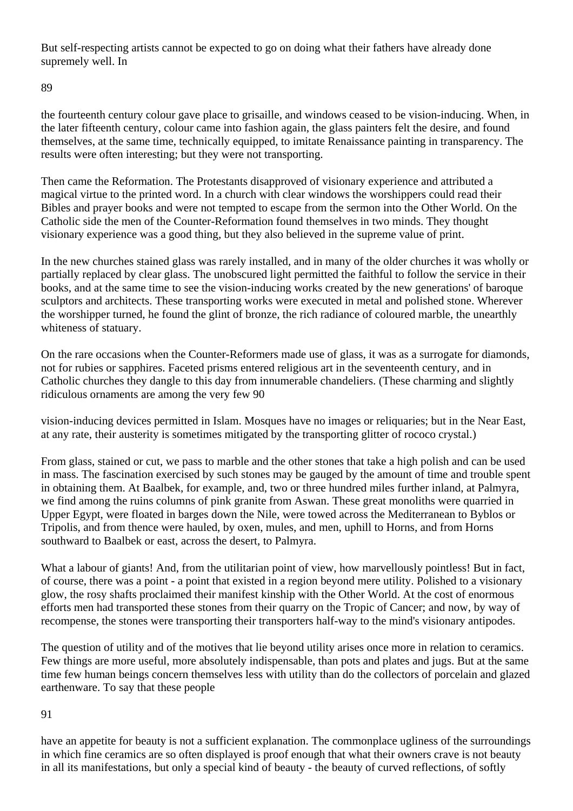But self-respecting artists cannot be expected to go on doing what their fathers have already done supremely well. In

89

the fourteenth century colour gave place to grisaille, and windows ceased to be vision-inducing. When, in the later fifteenth century, colour came into fashion again, the glass painters felt the desire, and found themselves, at the same time, technically equipped, to imitate Renaissance painting in transparency. The results were often interesting; but they were not transporting.

Then came the Reformation. The Protestants disapproved of visionary experience and attributed a magical virtue to the printed word. In a church with clear windows the worshippers could read their Bibles and prayer books and were not tempted to escape from the sermon into the Other World. On the Catholic side the men of the Counter-Reformation found themselves in two minds. They thought visionary experience was a good thing, but they also believed in the supreme value of print.

In the new churches stained glass was rarely installed, and in many of the older churches it was wholly or partially replaced by clear glass. The unobscured light permitted the faithful to follow the service in their books, and at the same time to see the vision-inducing works created by the new generations' of baroque sculptors and architects. These transporting works were executed in metal and polished stone. Wherever the worshipper turned, he found the glint of bronze, the rich radiance of coloured marble, the unearthly whiteness of statuary.

On the rare occasions when the Counter-Reformers made use of glass, it was as a surrogate for diamonds, not for rubies or sapphires. Faceted prisms entered religious art in the seventeenth century, and in Catholic churches they dangle to this day from innumerable chandeliers. (These charming and slightly ridiculous ornaments are among the very few 90

vision-inducing devices permitted in Islam. Mosques have no images or reliquaries; but in the Near East, at any rate, their austerity is sometimes mitigated by the transporting glitter of rococo crystal.)

From glass, stained or cut, we pass to marble and the other stones that take a high polish and can be used in mass. The fascination exercised by such stones may be gauged by the amount of time and trouble spent in obtaining them. At Baalbek, for example, and, two or three hundred miles further inland, at Palmyra, we find among the ruins columns of pink granite from Aswan. These great monoliths were quarried in Upper Egypt, were floated in barges down the Nile, were towed across the Mediterranean to Byblos or Tripolis, and from thence were hauled, by oxen, mules, and men, uphill to Horns, and from Horns southward to Baalbek or east, across the desert, to Palmyra.

What a labour of giants! And, from the utilitarian point of view, how marvellously pointless! But in fact, of course, there was a point - a point that existed in a region beyond mere utility. Polished to a visionary glow, the rosy shafts proclaimed their manifest kinship with the Other World. At the cost of enormous efforts men had transported these stones from their quarry on the Tropic of Cancer; and now, by way of recompense, the stones were transporting their transporters half-way to the mind's visionary antipodes.

The question of utility and of the motives that lie beyond utility arises once more in relation to ceramics. Few things are more useful, more absolutely indispensable, than pots and plates and jugs. But at the same time few human beings concern themselves less with utility than do the collectors of porcelain and glazed earthenware. To say that these people

# 91

have an appetite for beauty is not a sufficient explanation. The commonplace ugliness of the surroundings in which fine ceramics are so often displayed is proof enough that what their owners crave is not beauty in all its manifestations, but only a special kind of beauty - the beauty of curved reflections, of softly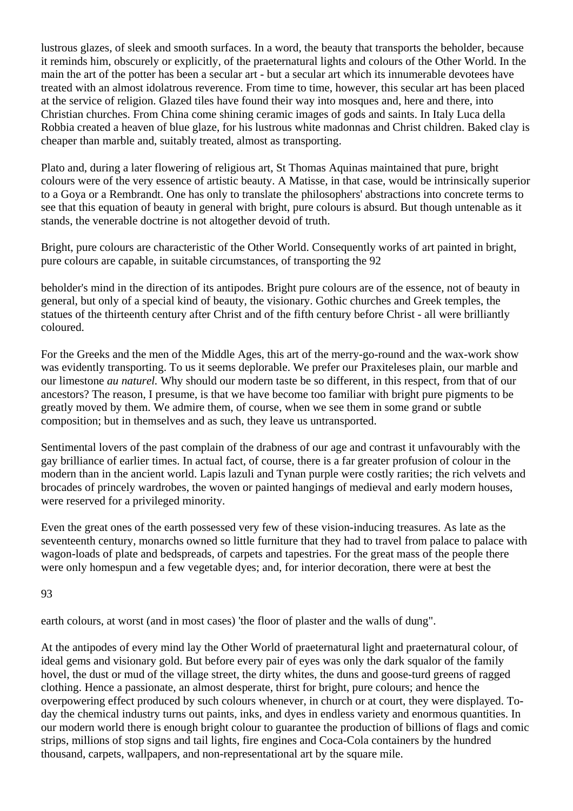lustrous glazes, of sleek and smooth surfaces. In a word, the beauty that transports the beholder, because it reminds him, obscurely or explicitly, of the praeternatural lights and colours of the Other World. In the main the art of the potter has been a secular art - but a secular art which its innumerable devotees have treated with an almost idolatrous reverence. From time to time, however, this secular art has been placed at the service of religion. Glazed tiles have found their way into mosques and, here and there, into Christian churches. From China come shining ceramic images of gods and saints. In Italy Luca della Robbia created a heaven of blue glaze, for his lustrous white madonnas and Christ children. Baked clay is cheaper than marble and, suitably treated, almost as transporting.

Plato and, during a later flowering of religious art, St Thomas Aquinas maintained that pure, bright colours were of the very essence of artistic beauty. A Matisse, in that case, would be intrinsically superior to a Goya or a Rembrandt. One has only to translate the philosophers' abstractions into concrete terms to see that this equation of beauty in general with bright, pure colours is absurd. But though untenable as it stands, the venerable doctrine is not altogether devoid of truth.

Bright, pure colours are characteristic of the Other World. Consequently works of art painted in bright, pure colours are capable, in suitable circumstances, of transporting the 92

beholder's mind in the direction of its antipodes. Bright pure colours are of the essence, not of beauty in general, but only of a special kind of beauty, the visionary. Gothic churches and Greek temples, the statues of the thirteenth century after Christ and of the fifth century before Christ - all were brilliantly coloured.

For the Greeks and the men of the Middle Ages, this art of the merry-go-round and the wax-work show was evidently transporting. To us it seems deplorable. We prefer our Praxiteleses plain, our marble and our limestone *au naturel.* Why should our modern taste be so different, in this respect, from that of our ancestors? The reason, I presume, is that we have become too familiar with bright pure pigments to be greatly moved by them. We admire them, of course, when we see them in some grand or subtle composition; but in themselves and as such, they leave us untransported.

Sentimental lovers of the past complain of the drabness of our age and contrast it unfavourably with the gay brilliance of earlier times. In actual fact, of course, there is a far greater profusion of colour in the modern than in the ancient world. Lapis lazuli and Tynan purple were costly rarities; the rich velvets and brocades of princely wardrobes, the woven or painted hangings of medieval and early modern houses, were reserved for a privileged minority.

Even the great ones of the earth possessed very few of these vision-inducing treasures. As late as the seventeenth century, monarchs owned so little furniture that they had to travel from palace to palace with wagon-loads of plate and bedspreads, of carpets and tapestries. For the great mass of the people there were only homespun and a few vegetable dyes; and, for interior decoration, there were at best the

#### 93

earth colours, at worst (and in most cases) 'the floor of plaster and the walls of dung".

At the antipodes of every mind lay the Other World of praeternatural light and praeternatural colour, of ideal gems and visionary gold. But before every pair of eyes was only the dark squalor of the family hovel, the dust or mud of the village street, the dirty whites, the duns and goose-turd greens of ragged clothing. Hence a passionate, an almost desperate, thirst for bright, pure colours; and hence the overpowering effect produced by such colours whenever, in church or at court, they were displayed. Today the chemical industry turns out paints, inks, and dyes in endless variety and enormous quantities. In our modern world there is enough bright colour to guarantee the production of billions of flags and comic strips, millions of stop signs and tail lights, fire engines and Coca-Cola containers by the hundred thousand, carpets, wallpapers, and non-representational art by the square mile.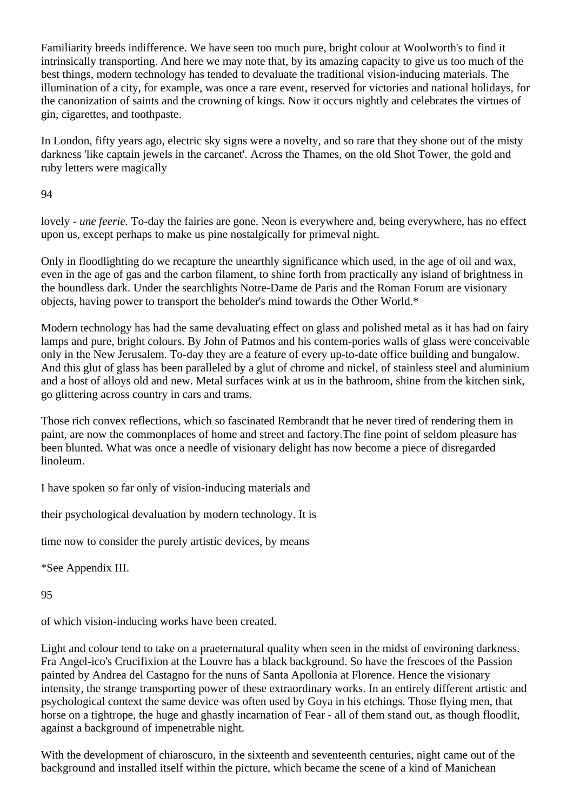Familiarity breeds indifference. We have seen too much pure, bright colour at Woolworth's to find it intrinsically transporting. And here we may note that, by its amazing capacity to give us too much of the best things, modern technology has tended to devaluate the traditional vision-inducing materials. The illumination of a city, for example, was once a rare event, reserved for victories and national holidays, for the canonization of saints and the crowning of kings. Now it occurs nightly and celebrates the virtues of gin, cigarettes, and toothpaste.

In London, fifty years ago, electric sky signs were a novelty, and so rare that they shone out of the misty darkness 'like captain jewels in the carcanet'. Across the Thames, on the old Shot Tower, the gold and ruby letters were magically

94

lovely - *une feerie*. To-day the fairies are gone. Neon is everywhere and, being everywhere, has no effect upon us, except perhaps to make us pine nostalgically for primeval night.

Only in floodlighting do we recapture the unearthly significance which used, in the age of oil and wax, even in the age of gas and the carbon filament, to shine forth from practically any island of brightness in the boundless dark. Under the searchlights Notre-Dame de Paris and the Roman Forum are visionary objects, having power to transport the beholder's mind towards the Other World.\*

Modern technology has had the same devaluating effect on glass and polished metal as it has had on fairy lamps and pure, bright colours. By John of Patmos and his contem-pories walls of glass were conceivable only in the New Jerusalem. To-day they are a feature of every up-to-date office building and bungalow. And this glut of glass has been paralleled by a glut of chrome and nickel, of stainless steel and aluminium and a host of alloys old and new. Metal surfaces wink at us in the bathroom, shine from the kitchen sink, go glittering across country in cars and trams.

Those rich convex reflections, which so fascinated Rembrandt that he never tired of rendering them in paint, are now the commonplaces of home and street and factory.The fine point of seldom pleasure has been blunted. What was once a needle of visionary delight has now become a piece of disregarded linoleum.

I have spoken so far only of vision-inducing materials and

their psychological devaluation by modern technology. It is

time now to consider the purely artistic devices, by means

\*See Appendix III.

95

of which vision-inducing works have been created.

Light and colour tend to take on a praeternatural quality when seen in the midst of environing darkness. Fra Angel-ico's Crucifixion at the Louvre has a black background. So have the frescoes of the Passion painted by Andrea del Castagno for the nuns of Santa Apollonia at Florence. Hence the visionary intensity, the strange transporting power of these extraordinary works. In an entirely different artistic and psychological context the same device was often used by Goya in his etchings. Those flying men, that horse on a tightrope, the huge and ghastly incarnation of Fear - all of them stand out, as though floodlit, against a background of impenetrable night.

With the development of chiaroscuro, in the sixteenth and seventeenth centuries, night came out of the background and installed itself within the picture, which became the scene of a kind of Manichean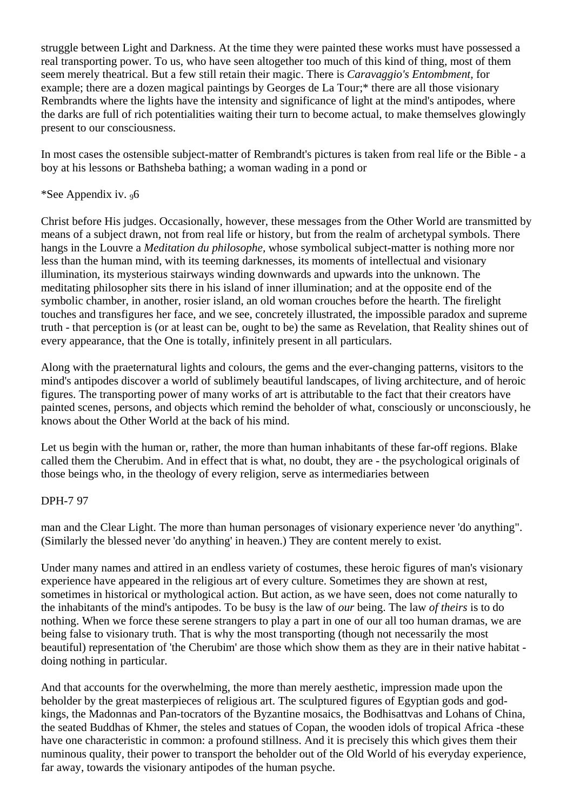struggle between Light and Darkness. At the time they were painted these works must have possessed a real transporting power. To us, who have seen altogether too much of this kind of thing, most of them seem merely theatrical. But a few still retain their magic. There is *Caravaggio's Entombment,* for example; there are a dozen magical paintings by Georges de La Tour;\* there are all those visionary Rembrandts where the lights have the intensity and significance of light at the mind's antipodes, where the darks are full of rich potentialities waiting their turn to become actual, to make themselves glowingly present to our consciousness.

In most cases the ostensible subject-matter of Rembrandt's pictures is taken from real life or the Bible - a boy at his lessons or Bathsheba bathing; a woman wading in a pond or

#### \*See Appendix iv. 96

Christ before His judges. Occasionally, however, these messages from the Other World are transmitted by means of a subject drawn, not from real life or history, but from the realm of archetypal symbols. There hangs in the Louvre a *Meditation du philosophe,* whose symbolical subject-matter is nothing more nor less than the human mind, with its teeming darknesses, its moments of intellectual and visionary illumination, its mysterious stairways winding downwards and upwards into the unknown. The meditating philosopher sits there in his island of inner illumination; and at the opposite end of the symbolic chamber, in another, rosier island, an old woman crouches before the hearth. The firelight touches and transfigures her face, and we see, concretely illustrated, the impossible paradox and supreme truth - that perception is (or at least can be, ought to be) the same as Revelation, that Reality shines out of every appearance, that the One is totally, infinitely present in all particulars.

Along with the praeternatural lights and colours, the gems and the ever-changing patterns, visitors to the mind's antipodes discover a world of sublimely beautiful landscapes, of living architecture, and of heroic figures. The transporting power of many works of art is attributable to the fact that their creators have painted scenes, persons, and objects which remind the beholder of what, consciously or unconsciously, he knows about the Other World at the back of his mind.

Let us begin with the human or, rather, the more than human inhabitants of these far-off regions. Blake called them the Cherubim. And in effect that is what, no doubt, they are - the psychological originals of those beings who, in the theology of every religion, serve as intermediaries between

#### DPH-7 97

man and the Clear Light. The more than human personages of visionary experience never 'do anything". (Similarly the blessed never 'do anything' in heaven.) They are content merely to exist.

Under many names and attired in an endless variety of costumes, these heroic figures of man's visionary experience have appeared in the religious art of every culture. Sometimes they are shown at rest, sometimes in historical or mythological action. But action, as we have seen, does not come naturally to the inhabitants of the mind's antipodes. To be busy is the law of *our* being. The law *of theirs* is to do nothing. When we force these serene strangers to play a part in one of our all too human dramas, we are being false to visionary truth. That is why the most transporting (though not necessarily the most beautiful) representation of 'the Cherubim' are those which show them as they are in their native habitat doing nothing in particular.

And that accounts for the overwhelming, the more than merely aesthetic, impression made upon the beholder by the great masterpieces of religious art. The sculptured figures of Egyptian gods and godkings, the Madonnas and Pan-tocrators of the Byzantine mosaics, the Bodhisattvas and Lohans of China, the seated Buddhas of Khmer, the steles and statues of Copan, the wooden idols of tropical Africa -these have one characteristic in common: a profound stillness. And it is precisely this which gives them their numinous quality, their power to transport the beholder out of the Old World of his everyday experience, far away, towards the visionary antipodes of the human psyche.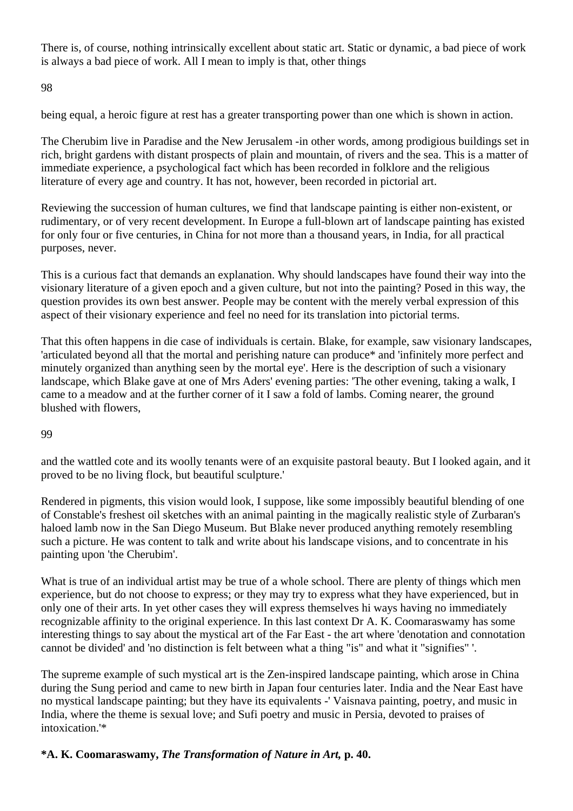There is, of course, nothing intrinsically excellent about static art. Static or dynamic, a bad piece of work is always a bad piece of work. All I mean to imply is that, other things

98

being equal, a heroic figure at rest has a greater transporting power than one which is shown in action.

The Cherubim live in Paradise and the New Jerusalem -in other words, among prodigious buildings set in rich, bright gardens with distant prospects of plain and mountain, of rivers and the sea. This is a matter of immediate experience, a psychological fact which has been recorded in folklore and the religious literature of every age and country. It has not, however, been recorded in pictorial art.

Reviewing the succession of human cultures, we find that landscape painting is either non-existent, or rudimentary, or of very recent development. In Europe a full-blown art of landscape painting has existed for only four or five centuries, in China for not more than a thousand years, in India, for all practical purposes, never.

This is a curious fact that demands an explanation. Why should landscapes have found their way into the visionary literature of a given epoch and a given culture, but not into the painting? Posed in this way, the question provides its own best answer. People may be content with the merely verbal expression of this aspect of their visionary experience and feel no need for its translation into pictorial terms.

That this often happens in die case of individuals is certain. Blake, for example, saw visionary landscapes, 'articulated beyond all that the mortal and perishing nature can produce\* and 'infinitely more perfect and minutely organized than anything seen by the mortal eye'. Here is the description of such a visionary landscape, which Blake gave at one of Mrs Aders' evening parties: 'The other evening, taking a walk, I came to a meadow and at the further corner of it I saw a fold of lambs. Coming nearer, the ground blushed with flowers,

# 99

and the wattled cote and its woolly tenants were of an exquisite pastoral beauty. But I looked again, and it proved to be no living flock, but beautiful sculpture.'

Rendered in pigments, this vision would look, I suppose, like some impossibly beautiful blending of one of Constable's freshest oil sketches with an animal painting in the magically realistic style of Zurbaran's haloed lamb now in the San Diego Museum. But Blake never produced anything remotely resembling such a picture. He was content to talk and write about his landscape visions, and to concentrate in his painting upon 'the Cherubim'.

What is true of an individual artist may be true of a whole school. There are plenty of things which men experience, but do not choose to express; or they may try to express what they have experienced, but in only one of their arts. In yet other cases they will express themselves hi ways having no immediately recognizable affinity to the original experience. In this last context Dr A. K. Coomaraswamy has some interesting things to say about the mystical art of the Far East - the art where 'denotation and connotation cannot be divided' and 'no distinction is felt between what a thing "is" and what it "signifies" '.

The supreme example of such mystical art is the Zen-inspired landscape painting, which arose in China during the Sung period and came to new birth in Japan four centuries later. India and the Near East have no mystical landscape painting; but they have its equivalents -' Vaisnava painting, poetry, and music in India, where the theme is sexual love; and Sufi poetry and music in Persia, devoted to praises of intoxication.'\*

**\*A. K. Coomaraswamy,** *The Transformation of Nature in Art,* **p. 40.**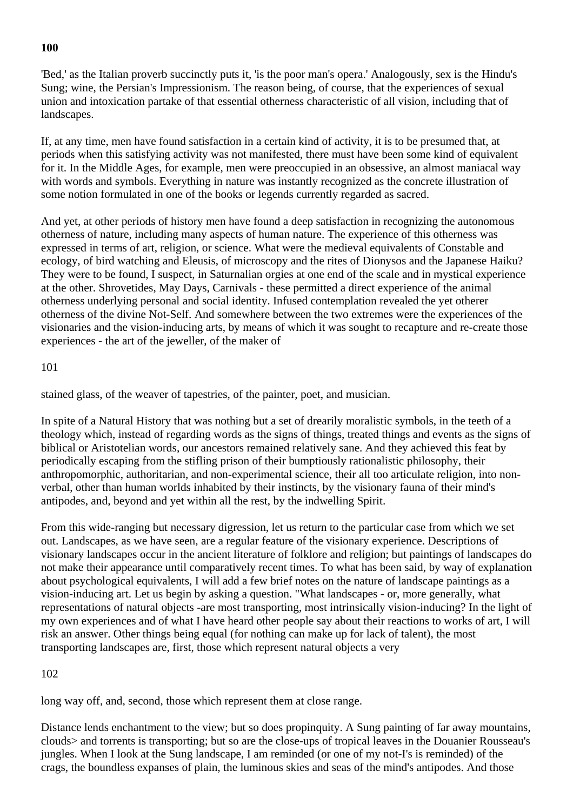#### **100**

'Bed,' as the Italian proverb succinctly puts it, 'is the poor man's opera.' Analogously, sex is the Hindu's Sung; wine, the Persian's Impressionism. The reason being, of course, that the experiences of sexual union and intoxication partake of that essential otherness characteristic of all vision, including that of landscapes.

If, at any time, men have found satisfaction in a certain kind of activity, it is to be presumed that, at periods when this satisfying activity was not manifested, there must have been some kind of equivalent for it. In the Middle Ages, for example, men were preoccupied in an obsessive, an almost maniacal way with words and symbols. Everything in nature was instantly recognized as the concrete illustration of some notion formulated in one of the books or legends currently regarded as sacred.

And yet, at other periods of history men have found a deep satisfaction in recognizing the autonomous otherness of nature, including many aspects of human nature. The experience of this otherness was expressed in terms of art, religion, or science. What were the medieval equivalents of Constable and ecology, of bird watching and Eleusis, of microscopy and the rites of Dionysos and the Japanese Haiku? They were to be found, I suspect, in Saturnalian orgies at one end of the scale and in mystical experience at the other. Shrovetides, May Days, Carnivals - these permitted a direct experience of the animal otherness underlying personal and social identity. Infused contemplation revealed the yet otherer otherness of the divine Not-Self. And somewhere between the two extremes were the experiences of the visionaries and the vision-inducing arts, by means of which it was sought to recapture and re-create those experiences - the art of the jeweller, of the maker of

101

stained glass, of the weaver of tapestries, of the painter, poet, and musician.

In spite of a Natural History that was nothing but a set of drearily moralistic symbols, in the teeth of a theology which, instead of regarding words as the signs of things, treated things and events as the signs of biblical or Aristotelian words, our ancestors remained relatively sane. And they achieved this feat by periodically escaping from the stifling prison of their bumptiously rationalistic philosophy, their anthropomorphic, authoritarian, and non-experimental science, their all too articulate religion, into nonverbal, other than human worlds inhabited by their instincts, by the visionary fauna of their mind's antipodes, and, beyond and yet within all the rest, by the indwelling Spirit.

From this wide-ranging but necessary digression, let us return to the particular case from which we set out. Landscapes, as we have seen, are a regular feature of the visionary experience. Descriptions of visionary landscapes occur in the ancient literature of folklore and religion; but paintings of landscapes do not make their appearance until comparatively recent times. To what has been said, by way of explanation about psychological equivalents, I will add a few brief notes on the nature of landscape paintings as a vision-inducing art. Let us begin by asking a question. "What landscapes - or, more generally, what representations of natural objects -are most transporting, most intrinsically vision-inducing? In the light of my own experiences and of what I have heard other people say about their reactions to works of art, I will risk an answer. Other things being equal (for nothing can make up for lack of talent), the most transporting landscapes are, first, those which represent natural objects a very

102

long way off, and, second, those which represent them at close range.

Distance lends enchantment to the view; but so does propinquity. A Sung painting of far away mountains, clouds> and torrents is transporting; but so are the close-ups of tropical leaves in the Douanier Rousseau's jungles. When I look at the Sung landscape, I am reminded (or one of my not-I's is reminded) of the crags, the boundless expanses of plain, the luminous skies and seas of the mind's antipodes. And those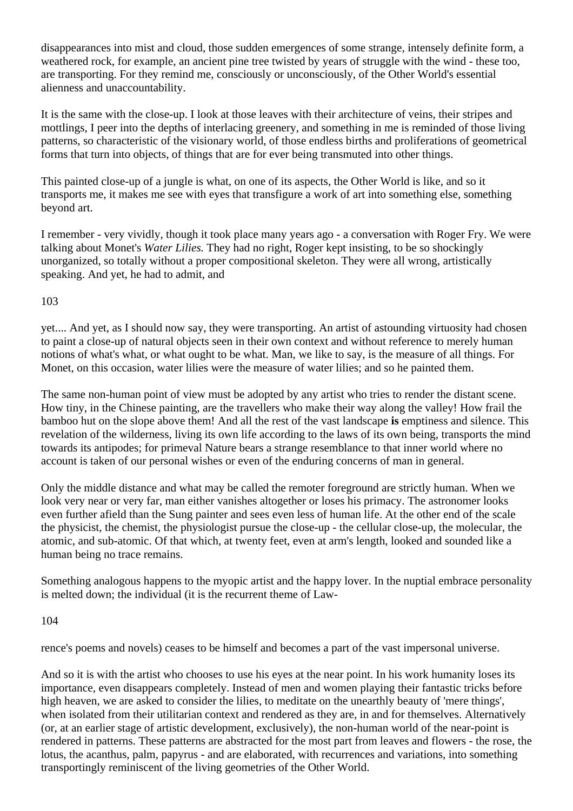disappearances into mist and cloud, those sudden emergences of some strange, intensely definite form, a weathered rock, for example, an ancient pine tree twisted by years of struggle with the wind - these too, are transporting. For they remind me, consciously or unconsciously, of the Other World's essential alienness and unaccountability.

It is the same with the close-up. I look at those leaves with their architecture of veins, their stripes and mottlings, I peer into the depths of interlacing greenery, and something in me is reminded of those living patterns, so characteristic of the visionary world, of those endless births and proliferations of geometrical forms that turn into objects, of things that are for ever being transmuted into other things.

This painted close-up of a jungle is what, on one of its aspects, the Other World is like, and so it transports me, it makes me see with eyes that transfigure a work of art into something else, something beyond art.

I remember - very vividly, though it took place many years ago - a conversation with Roger Fry. We were talking about Monet's *Water Lilies.* They had no right, Roger kept insisting, to be so shockingly unorganized, so totally without a proper compositional skeleton. They were all wrong, artistically speaking. And yet, he had to admit, and

#### 103

yet.... And yet, as I should now say, they were transporting. An artist of astounding virtuosity had chosen to paint a close-up of natural objects seen in their own context and without reference to merely human notions of what's what, or what ought to be what. Man, we like to say, is the measure of all things. For Monet, on this occasion, water lilies were the measure of water lilies; and so he painted them.

The same non-human point of view must be adopted by any artist who tries to render the distant scene. How tiny, in the Chinese painting, are the travellers who make their way along the valley! How frail the bamboo hut on the slope above them! And all the rest of the vast landscape **is** emptiness and silence. This revelation of the wilderness, living its own life according to the laws of its own being, transports the mind towards its antipodes; for primeval Nature bears a strange resemblance to that inner world where no account is taken of our personal wishes or even of the enduring concerns of man in general.

Only the middle distance and what may be called the remoter foreground are strictly human. When we look very near or very far, man either vanishes altogether or loses his primacy. The astronomer looks even further afield than the Sung painter and sees even less of human life. At the other end of the scale the physicist, the chemist, the physiologist pursue the close-up - the cellular close-up, the molecular, the atomic, and sub-atomic. Of that which, at twenty feet, even at arm's length, looked and sounded like a human being no trace remains.

Something analogous happens to the myopic artist and the happy lover. In the nuptial embrace personality is melted down; the individual (it is the recurrent theme of Law-

#### 104

rence's poems and novels) ceases to be himself and becomes a part of the vast impersonal universe.

And so it is with the artist who chooses to use his eyes at the near point. In his work humanity loses its importance, even disappears completely. Instead of men and women playing their fantastic tricks before high heaven, we are asked to consider the lilies, to meditate on the unearthly beauty of 'mere things', when isolated from their utilitarian context and rendered as they are, in and for themselves. Alternatively (or, at an earlier stage of artistic development, exclusively), the non-human world of the near-point is rendered in patterns. These patterns are abstracted for the most part from leaves and flowers - the rose, the lotus, the acanthus, palm, papyrus - and are elaborated, with recurrences and variations, into something transportingly reminiscent of the living geometries of the Other World.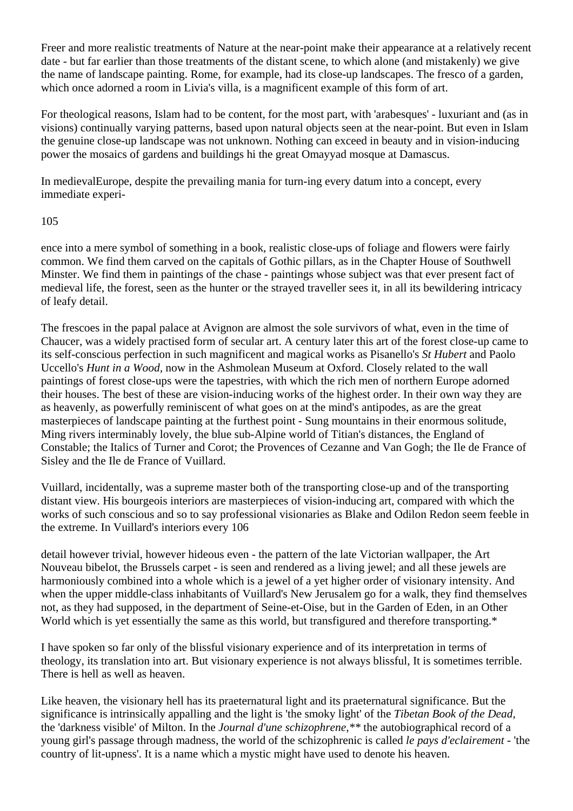Freer and more realistic treatments of Nature at the near-point make their appearance at a relatively recent date - but far earlier than those treatments of the distant scene, to which alone (and mistakenly) we give the name of landscape painting. Rome, for example, had its close-up landscapes. The fresco of a garden, which once adorned a room in Livia's villa, is a magnificent example of this form of art.

For theological reasons, Islam had to be content, for the most part, with 'arabesques' - luxuriant and (as in visions) continually varying patterns, based upon natural objects seen at the near-point. But even in Islam the genuine close-up landscape was not unknown. Nothing can exceed in beauty and in vision-inducing power the mosaics of gardens and buildings hi the great Omayyad mosque at Damascus.

In medievalEurope, despite the prevailing mania for turn-ing every datum into a concept, every immediate experi-

#### 105

ence into a mere symbol of something in a book, realistic close-ups of foliage and flowers were fairly common. We find them carved on the capitals of Gothic pillars, as in the Chapter House of Southwell Minster. We find them in paintings of the chase - paintings whose subject was that ever present fact of medieval life, the forest, seen as the hunter or the strayed traveller sees it, in all its bewildering intricacy of leafy detail.

The frescoes in the papal palace at Avignon are almost the sole survivors of what, even in the time of Chaucer, was a widely practised form of secular art. A century later this art of the forest close-up came to its self-conscious perfection in such magnificent and magical works as Pisanello's *St Hubert* and Paolo Uccello's *Hunt in a Wood,* now in the Ashmolean Museum at Oxford. Closely related to the wall paintings of forest close-ups were the tapestries, with which the rich men of northern Europe adorned their houses. The best of these are vision-inducing works of the highest order. In their own way they are as heavenly, as powerfully reminiscent of what goes on at the mind's antipodes, as are the great masterpieces of landscape painting at the furthest point - Sung mountains in their enormous solitude, Ming rivers interminably lovely, the blue sub-Alpine world of Titian's distances, the England of Constable; the Italics of Turner and Corot; the Provences of Cezanne and Van Gogh; the Ile de France of Sisley and the Ile de France of Vuillard.

Vuillard, incidentally, was a supreme master both of the transporting close-up and of the transporting distant view. His bourgeois interiors are masterpieces of vision-inducing art, compared with which the works of such conscious and so to say professional visionaries as Blake and Odilon Redon seem feeble in the extreme. In Vuillard's interiors every 106

detail however trivial, however hideous even - the pattern of the late Victorian wallpaper, the Art Nouveau bibelot, the Brussels carpet - is seen and rendered as a living jewel; and all these jewels are harmoniously combined into a whole which is a jewel of a yet higher order of visionary intensity. And when the upper middle-class inhabitants of Vuillard's New Jerusalem go for a walk, they find themselves not, as they had supposed, in the department of Seine-et-Oise, but in the Garden of Eden, in an Other World which is yet essentially the same as this world, but transfigured and therefore transporting.\*

I have spoken so far only of the blissful visionary experience and of its interpretation in terms of theology, its translation into art. But visionary experience is not always blissful, It is sometimes terrible. There is hell as well as heaven.

Like heaven, the visionary hell has its praeternatural light and its praeternatural significance. But the significance is intrinsically appalling and the light is 'the smoky light' of the *Tibetan Book of the Dead,*  the 'darkness visible' of Milton. In the *Journal d'une schizophrene,\*\** the autobiographical record of a young girl's passage through madness, the world of the schizophrenic is called *le pays d'eclairement -* 'the country of lit-upness'. It is a name which a mystic might have used to denote his heaven.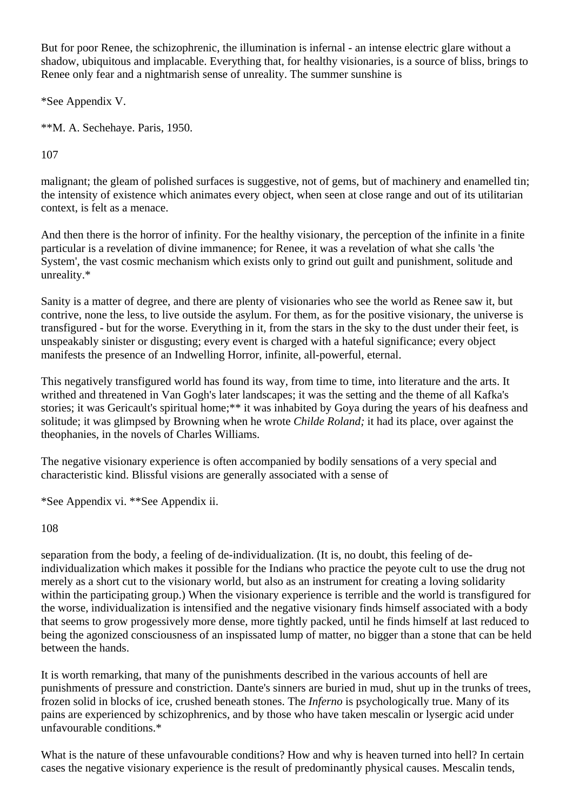But for poor Renee, the schizophrenic, the illumination is infernal - an intense electric glare without a shadow, ubiquitous and implacable. Everything that, for healthy visionaries, is a source of bliss, brings to Renee only fear and a nightmarish sense of unreality. The summer sunshine is

\*See Appendix V.

\*\*M. A. Sechehaye. Paris, 1950.

107

malignant; the gleam of polished surfaces is suggestive, not of gems, but of machinery and enamelled tin; the intensity of existence which animates every object, when seen at close range and out of its utilitarian context, is felt as a menace.

And then there is the horror of infinity. For the healthy visionary, the perception of the infinite in a finite particular is a revelation of divine immanence; for Renee, it was a revelation of what she calls 'the System', the vast cosmic mechanism which exists only to grind out guilt and punishment, solitude and unreality.\*

Sanity is a matter of degree, and there are plenty of visionaries who see the world as Renee saw it, but contrive, none the less, to live outside the asylum. For them, as for the positive visionary, the universe is transfigured - but for the worse. Everything in it, from the stars in the sky to the dust under their feet, is unspeakably sinister or disgusting; every event is charged with a hateful significance; every object manifests the presence of an Indwelling Horror, infinite, all-powerful, eternal.

This negatively transfigured world has found its way, from time to time, into literature and the arts. It writhed and threatened in Van Gogh's later landscapes; it was the setting and the theme of all Kafka's stories; it was Gericault's spiritual home;\*\* it was inhabited by Goya during the years of his deafness and solitude; it was glimpsed by Browning when he wrote *Childe Roland;* it had its place, over against the theophanies, in the novels of Charles Williams.

The negative visionary experience is often accompanied by bodily sensations of a very special and characteristic kind. Blissful visions are generally associated with a sense of

\*See Appendix vi. \*\*See Appendix ii.

108

separation from the body, a feeling of de-individualization. (It is, no doubt, this feeling of deindividualization which makes it possible for the Indians who practice the peyote cult to use the drug not merely as a short cut to the visionary world, but also as an instrument for creating a loving solidarity within the participating group.) When the visionary experience is terrible and the world is transfigured for the worse, individualization is intensified and the negative visionary finds himself associated with a body that seems to grow progessively more dense, more tightly packed, until he finds himself at last reduced to being the agonized consciousness of an inspissated lump of matter, no bigger than a stone that can be held between the hands.

It is worth remarking, that many of the punishments described in the various accounts of hell are punishments of pressure and constriction. Dante's sinners are buried in mud, shut up in the trunks of trees, frozen solid in blocks of ice, crushed beneath stones. The *Inferno* is psychologically true. Many of its pains are experienced by schizophrenics, and by those who have taken mescalin or lysergic acid under unfavourable conditions.\*

What is the nature of these unfavourable conditions? How and why is heaven turned into hell? In certain cases the negative visionary experience is the result of predominantly physical causes. Mescalin tends,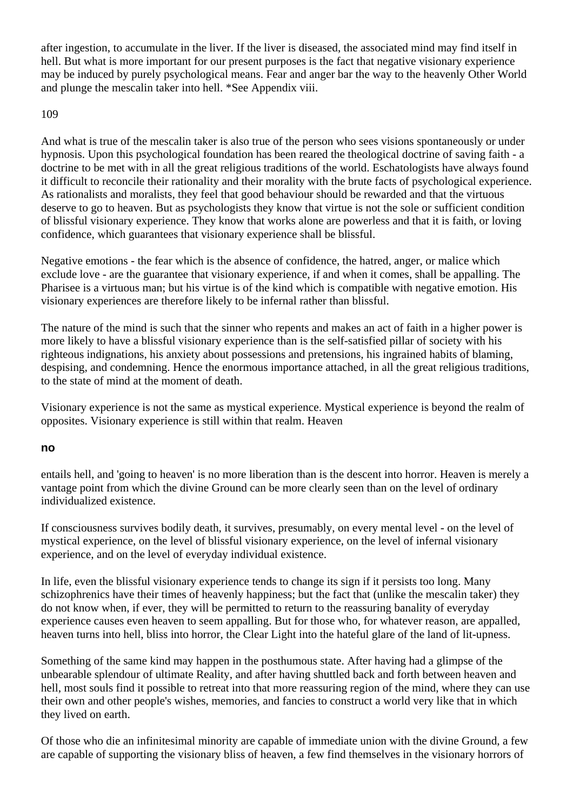after ingestion, to accumulate in the liver. If the liver is diseased, the associated mind may find itself in hell. But what is more important for our present purposes is the fact that negative visionary experience may be induced by purely psychological means. Fear and anger bar the way to the heavenly Other World and plunge the mescalin taker into hell. \*See Appendix viii.

#### 109

And what is true of the mescalin taker is also true of the person who sees visions spontaneously or under hypnosis. Upon this psychological foundation has been reared the theological doctrine of saving faith - a doctrine to be met with in all the great religious traditions of the world. Eschatologists have always found it difficult to reconcile their rationality and their morality with the brute facts of psychological experience. As rationalists and moralists, they feel that good behaviour should be rewarded and that the virtuous deserve to go to heaven. But as psychologists they know that virtue is not the sole or sufficient condition of blissful visionary experience. They know that works alone are powerless and that it is faith, or loving confidence, which guarantees that visionary experience shall be blissful.

Negative emotions - the fear which is the absence of confidence, the hatred, anger, or malice which exclude love - are the guarantee that visionary experience, if and when it comes, shall be appalling. The Pharisee is a virtuous man; but his virtue is of the kind which is compatible with negative emotion. His visionary experiences are therefore likely to be infernal rather than blissful.

The nature of the mind is such that the sinner who repents and makes an act of faith in a higher power is more likely to have a blissful visionary experience than is the self-satisfied pillar of society with his righteous indignations, his anxiety about possessions and pretensions, his ingrained habits of blaming, despising, and condemning. Hence the enormous importance attached, in all the great religious traditions, to the state of mind at the moment of death.

Visionary experience is not the same as mystical experience. Mystical experience is beyond the realm of opposites. Visionary experience is still within that realm. Heaven

# **no**

entails hell, and 'going to heaven' is no more liberation than is the descent into horror. Heaven is merely a vantage point from which the divine Ground can be more clearly seen than on the level of ordinary individualized existence.

If consciousness survives bodily death, it survives, presumably, on every mental level - on the level of mystical experience, on the level of blissful visionary experience, on the level of infernal visionary experience, and on the level of everyday individual existence.

In life, even the blissful visionary experience tends to change its sign if it persists too long. Many schizophrenics have their times of heavenly happiness; but the fact that (unlike the mescalin taker) they do not know when, if ever, they will be permitted to return to the reassuring banality of everyday experience causes even heaven to seem appalling. But for those who, for whatever reason, are appalled, heaven turns into hell, bliss into horror, the Clear Light into the hateful glare of the land of lit-upness.

Something of the same kind may happen in the posthumous state. After having had a glimpse of the unbearable splendour of ultimate Reality, and after having shuttled back and forth between heaven and hell, most souls find it possible to retreat into that more reassuring region of the mind, where they can use their own and other people's wishes, memories, and fancies to construct a world very like that in which they lived on earth.

Of those who die an infinitesimal minority are capable of immediate union with the divine Ground, a few are capable of supporting the visionary bliss of heaven, a few find themselves in the visionary horrors of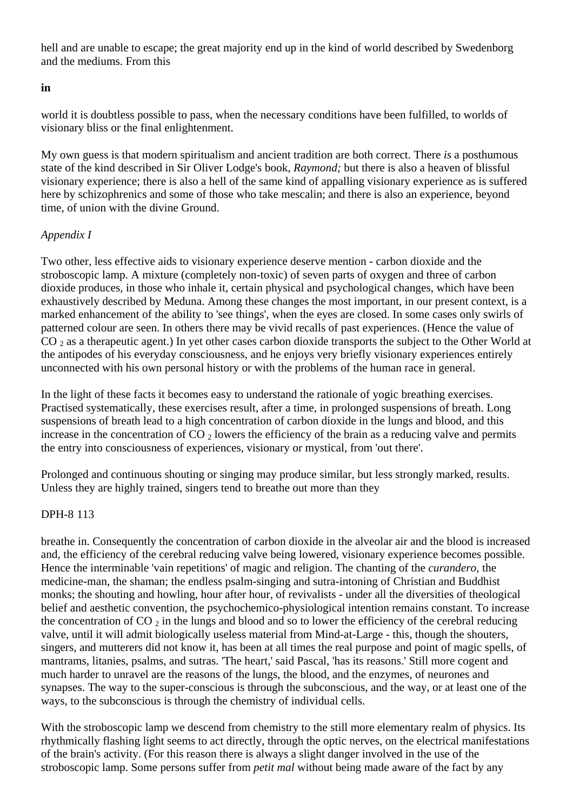hell and are unable to escape; the great majority end up in the kind of world described by Swedenborg and the mediums. From this

# **in**

world it is doubtless possible to pass, when the necessary conditions have been fulfilled, to worlds of visionary bliss or the final enlightenment.

My own guess is that modern spiritualism and ancient tradition are both correct. There *is* a posthumous state of the kind described in Sir Oliver Lodge's book, *Raymond;* but there is also a heaven of blissful visionary experience; there is also a hell of the same kind of appalling visionary experience as is suffered here by schizophrenics and some of those who take mescalin; and there is also an experience, beyond time, of union with the divine Ground.

# *Appendix I*

Two other, less effective aids to visionary experience deserve mention - carbon dioxide and the stroboscopic lamp. A mixture (completely non-toxic) of seven parts of oxygen and three of carbon dioxide produces, in those who inhale it, certain physical and psychological changes, which have been exhaustively described by Meduna. Among these changes the most important, in our present context, is a marked enhancement of the ability to 'see things', when the eyes are closed. In some cases only swirls of patterned colour are seen. In others there may be vivid recalls of past experiences. (Hence the value of CO<sub>2</sub> as a therapeutic agent.) In yet other cases carbon dioxide transports the subject to the Other World at the antipodes of his everyday consciousness, and he enjoys very briefly visionary experiences entirely unconnected with his own personal history or with the problems of the human race in general.

In the light of these facts it becomes easy to understand the rationale of yogic breathing exercises. Practised systematically, these exercises result, after a time, in prolonged suspensions of breath. Long suspensions of breath lead to a high concentration of carbon dioxide in the lungs and blood, and this increase in the concentration of  $CO_2$  lowers the efficiency of the brain as a reducing valve and permits the entry into consciousness of experiences, visionary or mystical, from 'out there'.

Prolonged and continuous shouting or singing may produce similar, but less strongly marked, results. Unless they are highly trained, singers tend to breathe out more than they

# DPH-8 113

breathe in. Consequently the concentration of carbon dioxide in the alveolar air and the blood is increased and, the efficiency of the cerebral reducing valve being lowered, visionary experience becomes possible. Hence the interminable 'vain repetitions' of magic and religion. The chanting of the *curandero,* the medicine-man, the shaman; the endless psalm-singing and sutra-intoning of Christian and Buddhist monks; the shouting and howling, hour after hour, of revivalists - under all the diversities of theological belief and aesthetic convention, the psychochemico-physiological intention remains constant. To increase the concentration of  $CO_2$  in the lungs and blood and so to lower the efficiency of the cerebral reducing valve, until it will admit biologically useless material from Mind-at-Large - this, though the shouters, singers, and mutterers did not know it, has been at all times the real purpose and point of magic spells, of mantrams, litanies, psalms, and sutras. 'The heart,' said Pascal, 'has its reasons.' Still more cogent and much harder to unravel are the reasons of the lungs, the blood, and the enzymes, of neurones and synapses. The way to the super-conscious is through the subconscious, and the way, or at least one of the ways, to the subconscious is through the chemistry of individual cells.

With the stroboscopic lamp we descend from chemistry to the still more elementary realm of physics. Its rhythmically flashing light seems to act directly, through the optic nerves, on the electrical manifestations of the brain's activity. (For this reason there is always a slight danger involved in the use of the stroboscopic lamp. Some persons suffer from *petit mal* without being made aware of the fact by any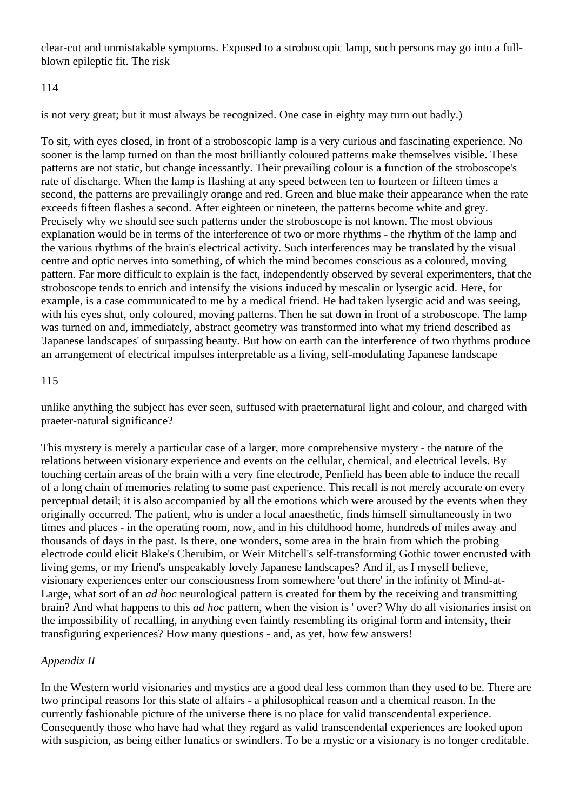clear-cut and unmistakable symptoms. Exposed to a stroboscopic lamp, such persons may go into a fullblown epileptic fit. The risk

# 114

is not very great; but it must always be recognized. One case in eighty may turn out badly.)

To sit, with eyes closed, in front of a stroboscopic lamp is a very curious and fascinating experience. No sooner is the lamp turned on than the most brilliantly coloured patterns make themselves visible. These patterns are not static, but change incessantly. Their prevailing colour is a function of the stroboscope's rate of discharge. When the lamp is flashing at any speed between ten to fourteen or fifteen times a second, the patterns are prevailingly orange and red. Green and blue make their appearance when the rate exceeds fifteen flashes a second. After eighteen or nineteen, the patterns become white and grey. Precisely why we should see such patterns under the stroboscope is not known. The most obvious explanation would be in terms of the interference of two or more rhythms - the rhythm of the lamp and the various rhythms of the brain's electrical activity. Such interferences may be translated by the visual centre and optic nerves into something, of which the mind becomes conscious as a coloured, moving pattern. Far more difficult to explain is the fact, independently observed by several experimenters, that the stroboscope tends to enrich and intensify the visions induced by mescalin or lysergic acid. Here, for example, is a case communicated to me by a medical friend. He had taken lysergic acid and was seeing, with his eyes shut, only coloured, moving patterns. Then he sat down in front of a stroboscope. The lamp was turned on and, immediately, abstract geometry was transformed into what my friend described as 'Japanese landscapes' of surpassing beauty. But how on earth can the interference of two rhythms produce an arrangement of electrical impulses interpretable as a living, self-modulating Japanese landscape

# 115

unlike anything the subject has ever seen, suffused with praeternatural light and colour, and charged with praeter-natural significance?

This mystery is merely a particular case of a larger, more comprehensive mystery - the nature of the relations between visionary experience and events on the cellular, chemical, and electrical levels. By touching certain areas of the brain with a very fine electrode, Penfield has been able to induce the recall of a long chain of memories relating to some past experience. This recall is not merely accurate on every perceptual detail; it is also accompanied by all the emotions which were aroused by the events when they originally occurred. The patient, who is under a local anaesthetic, finds himself simultaneously in two times and places - in the operating room, now, and in his childhood home, hundreds of miles away and thousands of days in the past. Is there, one wonders, some area in the brain from which the probing electrode could elicit Blake's Cherubim, or Weir Mitchell's self-transforming Gothic tower encrusted with living gems, or my friend's unspeakably lovely Japanese landscapes? And if, as I myself believe, visionary experiences enter our consciousness from somewhere 'out there' in the infinity of Mind-at-Large, what sort of an *ad hoc* neurological pattern is created for them by the receiving and transmitting brain? And what happens to this *ad hoc* pattern, when the vision is ' over? Why do all visionaries insist on the impossibility of recalling, in anything even faintly resembling its original form and intensity, their transfiguring experiences? How many questions - and, as yet, how few answers!

# *Appendix II*

In the Western world visionaries and mystics are a good deal less common than they used to be. There are two principal reasons for this state of affairs - a philosophical reason and a chemical reason. In the currently fashionable picture of the universe there is no place for valid transcendental experience. Consequently those who have had what they regard as valid transcendental experiences are looked upon with suspicion, as being either lunatics or swindlers. To be a mystic or a visionary is no longer creditable.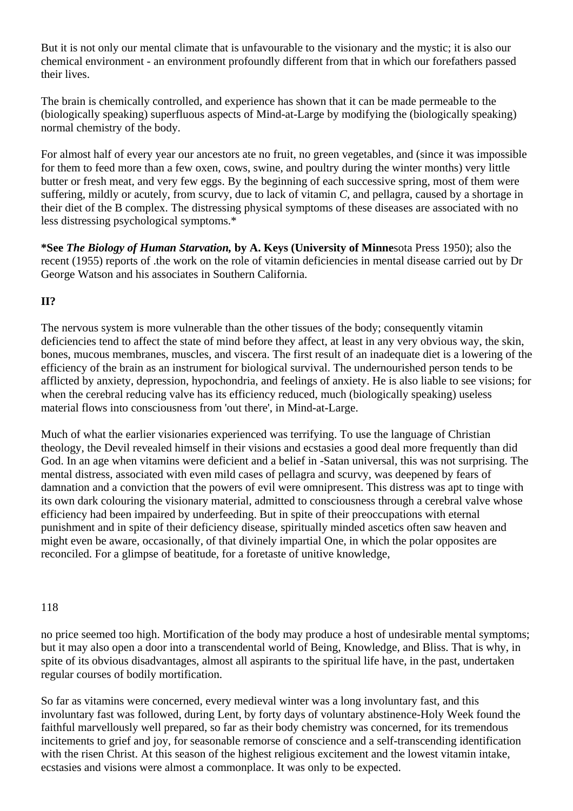But it is not only our mental climate that is unfavourable to the visionary and the mystic; it is also our chemical environment - an environment profoundly different from that in which our forefathers passed their lives.

The brain is chemically controlled, and experience has shown that it can be made permeable to the (biologically speaking) superfluous aspects of Mind-at-Large by modifying the (biologically speaking) normal chemistry of the body.

For almost half of every year our ancestors ate no fruit, no green vegetables, and (since it was impossible for them to feed more than a few oxen, cows, swine, and poultry during the winter months) very little butter or fresh meat, and very few eggs. By the beginning of each successive spring, most of them were suffering, mildly or acutely, from scurvy, due to lack of vitamin *C,* and pellagra, caused by a shortage in their diet of the B complex. The distressing physical symptoms of these diseases are associated with no less distressing psychological symptoms.\*

**\*See** *The Biology of Human Starvation,* **by A. Keys (University of Minne**sota Press 1950); also the recent (1955) reports of .the work on the role of vitamin deficiencies in mental disease carried out by Dr George Watson and his associates in Southern California.

# **II?**

The nervous system is more vulnerable than the other tissues of the body; consequently vitamin deficiencies tend to affect the state of mind before they affect, at least in any very obvious way, the skin, bones, mucous membranes, muscles, and viscera. The first result of an inadequate diet is a lowering of the efficiency of the brain as an instrument for biological survival. The undernourished person tends to be afflicted by anxiety, depression, hypochondria, and feelings of anxiety. He is also liable to see visions; for when the cerebral reducing valve has its efficiency reduced, much (biologically speaking) useless material flows into consciousness from 'out there', in Mind-at-Large.

Much of what the earlier visionaries experienced was terrifying. To use the language of Christian theology, the Devil revealed himself in their visions and ecstasies a good deal more frequently than did God. In an age when vitamins were deficient and a belief in -Satan universal, this was not surprising. The mental distress, associated with even mild cases of pellagra and scurvy, was deepened by fears of damnation and a conviction that the powers of evil were omnipresent. This distress was apt to tinge with its own dark colouring the visionary material, admitted to consciousness through a cerebral valve whose efficiency had been impaired by underfeeding. But in spite of their preoccupations with eternal punishment and in spite of their deficiency disease, spiritually minded ascetics often saw heaven and might even be aware, occasionally, of that divinely impartial One, in which the polar opposites are reconciled. For a glimpse of beatitude, for a foretaste of unitive knowledge,

#### 118

no price seemed too high. Mortification of the body may produce a host of undesirable mental symptoms; but it may also open a door into a transcendental world of Being, Knowledge, and Bliss. That is why, in spite of its obvious disadvantages, almost all aspirants to the spiritual life have, in the past, undertaken regular courses of bodily mortification.

So far as vitamins were concerned, every medieval winter was a long involuntary fast, and this involuntary fast was followed, during Lent, by forty days of voluntary abstinence-Holy Week found the faithful marvellously well prepared, so far as their body chemistry was concerned, for its tremendous incitements to grief and joy, for seasonable remorse of conscience and a self-transcending identification with the risen Christ. At this season of the highest religious excitement and the lowest vitamin intake, ecstasies and visions were almost a commonplace. It was only to be expected.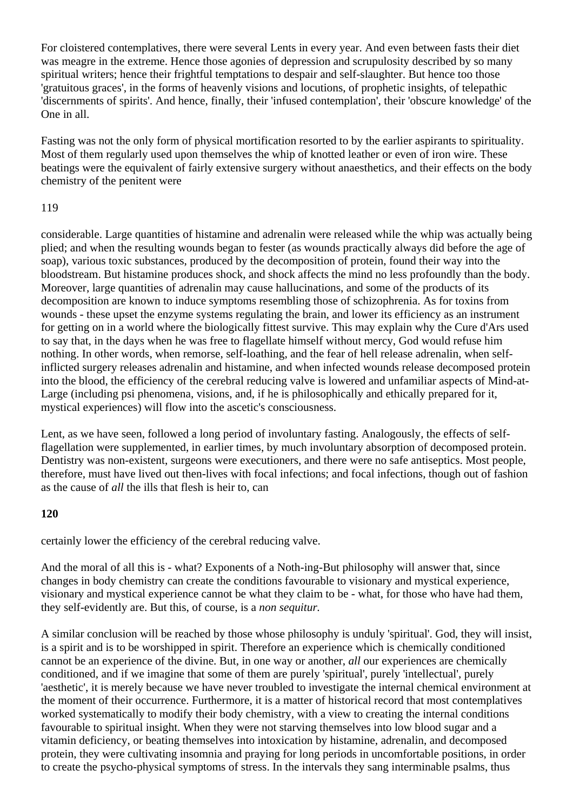For cloistered contemplatives, there were several Lents in every year. And even between fasts their diet was meagre in the extreme. Hence those agonies of depression and scrupulosity described by so many spiritual writers; hence their frightful temptations to despair and self-slaughter. But hence too those 'gratuitous graces', in the forms of heavenly visions and locutions, of prophetic insights, of telepathic 'discernments of spirits'. And hence, finally, their 'infused contemplation', their 'obscure knowledge' of the One in all.

Fasting was not the only form of physical mortification resorted to by the earlier aspirants to spirituality. Most of them regularly used upon themselves the whip of knotted leather or even of iron wire. These beatings were the equivalent of fairly extensive surgery without anaesthetics, and their effects on the body chemistry of the penitent were

#### 119

considerable. Large quantities of histamine and adrenalin were released while the whip was actually being plied; and when the resulting wounds began to fester (as wounds practically always did before the age of soap), various toxic substances, produced by the decomposition of protein, found their way into the bloodstream. But histamine produces shock, and shock affects the mind no less profoundly than the body. Moreover, large quantities of adrenalin may cause hallucinations, and some of the products of its decomposition are known to induce symptoms resembling those of schizophrenia. As for toxins from wounds - these upset the enzyme systems regulating the brain, and lower its efficiency as an instrument for getting on in a world where the biologically fittest survive. This may explain why the Cure d'Ars used to say that, in the days when he was free to flagellate himself without mercy, God would refuse him nothing. In other words, when remorse, self-loathing, and the fear of hell release adrenalin, when selfinflicted surgery releases adrenalin and histamine, and when infected wounds release decomposed protein into the blood, the efficiency of the cerebral reducing valve is lowered and unfamiliar aspects of Mind-at-Large (including psi phenomena, visions, and, if he is philosophically and ethically prepared for it, mystical experiences) will flow into the ascetic's consciousness.

Lent, as we have seen, followed a long period of involuntary fasting. Analogously, the effects of selfflagellation were supplemented, in earlier times, by much involuntary absorption of decomposed protein. Dentistry was non-existent, surgeons were executioners, and there were no safe antiseptics. Most people, therefore, must have lived out then-lives with focal infections; and focal infections, though out of fashion as the cause of *all* the ills that flesh is heir to, can

# **120**

certainly lower the efficiency of the cerebral reducing valve.

And the moral of all this is - what? Exponents of a Noth-ing-But philosophy will answer that, since changes in body chemistry can create the conditions favourable to visionary and mystical experience, visionary and mystical experience cannot be what they claim to be - what, for those who have had them, they self-evidently are. But this, of course, is a *non sequitur.*

A similar conclusion will be reached by those whose philosophy is unduly 'spiritual'. God, they will insist, is a spirit and is to be worshipped in spirit. Therefore an experience which is chemically conditioned cannot be an experience of the divine. But, in one way or another, *all* our experiences are chemically conditioned, and if we imagine that some of them are purely 'spiritual', purely 'intellectual', purely 'aesthetic', it is merely because we have never troubled to investigate the internal chemical environment at the moment of their occurrence. Furthermore, it is a matter of historical record that most contemplatives worked systematically to modify their body chemistry, with a view to creating the internal conditions favourable to spiritual insight. When they were not starving themselves into low blood sugar and a vitamin deficiency, or beating themselves into intoxication by histamine, adrenalin, and decomposed protein, they were cultivating insomnia and praying for long periods in uncomfortable positions, in order to create the psycho-physical symptoms of stress. In the intervals they sang interminable psalms, thus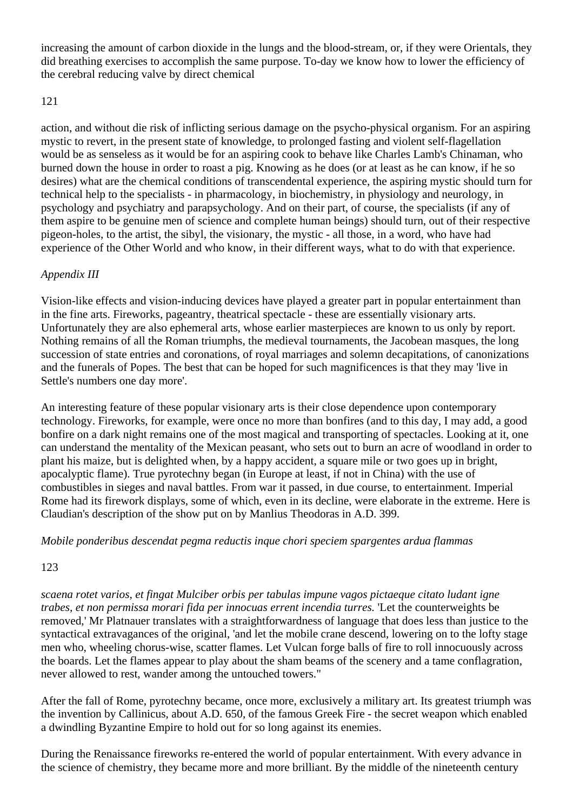increasing the amount of carbon dioxide in the lungs and the blood-stream, or, if they were Orientals, they did breathing exercises to accomplish the same purpose. To-day we know how to lower the efficiency of the cerebral reducing valve by direct chemical

# 121

action, and without die risk of inflicting serious damage on the psycho-physical organism. For an aspiring mystic to revert, in the present state of knowledge, to prolonged fasting and violent self-flagellation would be as senseless as it would be for an aspiring cook to behave like Charles Lamb's Chinaman, who burned down the house in order to roast a pig. Knowing as he does (or at least as he can know, if he so desires) what are the chemical conditions of transcendental experience, the aspiring mystic should turn for technical help to the specialists - in pharmacology, in biochemistry, in physiology and neurology, in psychology and psychiatry and parapsychology. And on their part, of course, the specialists (if any of them aspire to be genuine men of science and complete human beings) should turn, out of their respective pigeon-holes, to the artist, the sibyl, the visionary, the mystic - all those, in a word, who have had experience of the Other World and who know, in their different ways, what to do with that experience.

# *Appendix III*

Vision-like effects and vision-inducing devices have played a greater part in popular entertainment than in the fine arts. Fireworks, pageantry, theatrical spectacle - these are essentially visionary arts. Unfortunately they are also ephemeral arts, whose earlier masterpieces are known to us only by report. Nothing remains of all the Roman triumphs, the medieval tournaments, the Jacobean masques, the long succession of state entries and coronations, of royal marriages and solemn decapitations, of canonizations and the funerals of Popes. The best that can be hoped for such magnificences is that they may 'live in Settle's numbers one day more'.

An interesting feature of these popular visionary arts is their close dependence upon contemporary technology. Fireworks, for example, were once no more than bonfires (and to this day, I may add, a good bonfire on a dark night remains one of the most magical and transporting of spectacles. Looking at it, one can understand the mentality of the Mexican peasant, who sets out to burn an acre of woodland in order to plant his maize, but is delighted when, by a happy accident, a square mile or two goes up in bright, apocalyptic flame). True pyrotechny began (in Europe at least, if not in China) with the use of combustibles in sieges and naval battles. From war it passed, in due course, to entertainment. Imperial Rome had its firework displays, some of which, even in its decline, were elaborate in the extreme. Here is Claudian's description of the show put on by Manlius Theodoras in A.D. 399.

*Mobile ponderibus descendat pegma reductis inque chori speciem spargentes ardua flammas*

# 123

*scaena rotet varios, et fingat Mulciber orbis per tabulas impune vagos pictaeque citato ludant igne trabes, et non permissa morari fida per innocuas errent incendia turres.* 'Let the counterweights be removed,' Mr Platnauer translates with a straightforwardness of language that does less than justice to the syntactical extravagances of the original, 'and let the mobile crane descend, lowering on to the lofty stage men who, wheeling chorus-wise, scatter flames. Let Vulcan forge balls of fire to roll innocuously across the boards. Let the flames appear to play about the sham beams of the scenery and a tame conflagration, never allowed to rest, wander among the untouched towers."

After the fall of Rome, pyrotechny became, once more, exclusively a military art. Its greatest triumph was the invention by Callinicus, about A.D. 650, of the famous Greek Fire - the secret weapon which enabled a dwindling Byzantine Empire to hold out for so long against its enemies.

During the Renaissance fireworks re-entered the world of popular entertainment. With every advance in the science of chemistry, they became more and more brilliant. By the middle of the nineteenth century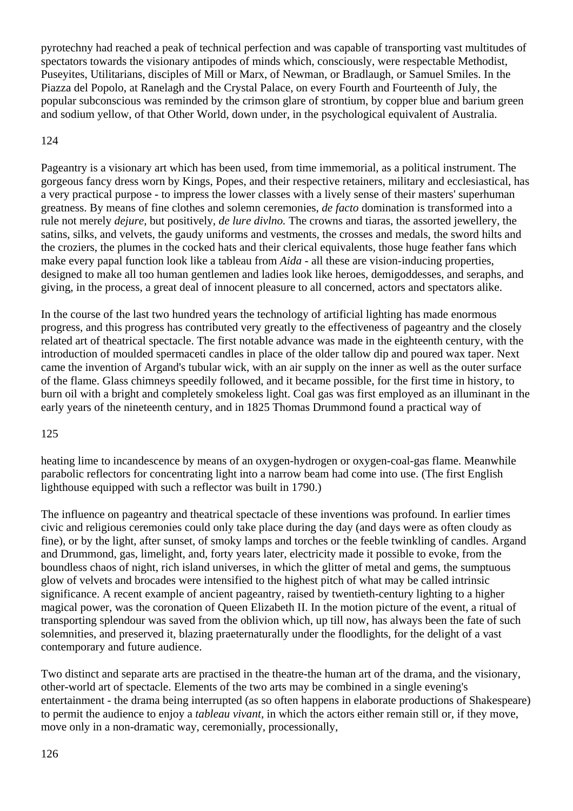pyrotechny had reached a peak of technical perfection and was capable of transporting vast multitudes of spectators towards the visionary antipodes of minds which, consciously, were respectable Methodist, Puseyites, Utilitarians, disciples of Mill or Marx, of Newman, or Bradlaugh, or Samuel Smiles. In the Piazza del Popolo, at Ranelagh and the Crystal Palace, on every Fourth and Fourteenth of July, the popular subconscious was reminded by the crimson glare of strontium, by copper blue and barium green and sodium yellow, of that Other World, down under, in the psychological equivalent of Australia.

#### 124

Pageantry is a visionary art which has been used, from time immemorial, as a political instrument. The gorgeous fancy dress worn by Kings, Popes, and their respective retainers, military and ecclesiastical, has a very practical purpose - to impress the lower classes with a lively sense of their masters' superhuman greatness. By means of fine clothes and solemn ceremonies, *de facto* domination is transformed into a rule not merely *dejure,* but positively, *de lure divlno.* The crowns and tiaras, the assorted jewellery, the satins, silks, and velvets, the gaudy uniforms and vestments, the crosses and medals, the sword hilts and the croziers, the plumes in the cocked hats and their clerical equivalents, those huge feather fans which make every papal function look like a tableau from *Aida -* all these are vision-inducing properties, designed to make all too human gentlemen and ladies look like heroes, demigoddesses, and seraphs, and giving, in the process, a great deal of innocent pleasure to all concerned, actors and spectators alike.

In the course of the last two hundred years the technology of artificial lighting has made enormous progress, and this progress has contributed very greatly to the effectiveness of pageantry and the closely related art of theatrical spectacle. The first notable advance was made in the eighteenth century, with the introduction of moulded spermaceti candles in place of the older tallow dip and poured wax taper. Next came the invention of Argand's tubular wick, with an air supply on the inner as well as the outer surface of the flame. Glass chimneys speedily followed, and it became possible, for the first time in history, to burn oil with a bright and completely smokeless light. Coal gas was first employed as an illuminant in the early years of the nineteenth century, and in 1825 Thomas Drummond found a practical way of

#### 125

heating lime to incandescence by means of an oxygen-hydrogen or oxygen-coal-gas flame. Meanwhile parabolic reflectors for concentrating light into a narrow beam had come into use. (The first English lighthouse equipped with such a reflector was built in 1790.)

The influence on pageantry and theatrical spectacle of these inventions was profound. In earlier times civic and religious ceremonies could only take place during the day (and days were as often cloudy as fine), or by the light, after sunset, of smoky lamps and torches or the feeble twinkling of candles. Argand and Drummond, gas, limelight, and, forty years later, electricity made it possible to evoke, from the boundless chaos of night, rich island universes, in which the glitter of metal and gems, the sumptuous glow of velvets and brocades were intensified to the highest pitch of what may be called intrinsic significance. A recent example of ancient pageantry, raised by twentieth-century lighting to a higher magical power, was the coronation of Queen Elizabeth II. In the motion picture of the event, a ritual of transporting splendour was saved from the oblivion which, up till now, has always been the fate of such solemnities, and preserved it, blazing praeternaturally under the floodlights, for the delight of a vast contemporary and future audience.

Two distinct and separate arts are practised in the theatre-the human art of the drama, and the visionary, other-world art of spectacle. Elements of the two arts may be combined in a single evening's entertainment - the drama being interrupted (as so often happens in elaborate productions of Shakespeare) to permit the audience to enjoy a *tableau vivant,* in which the actors either remain still or, if they move, move only in a non-dramatic way, ceremonially, processionally,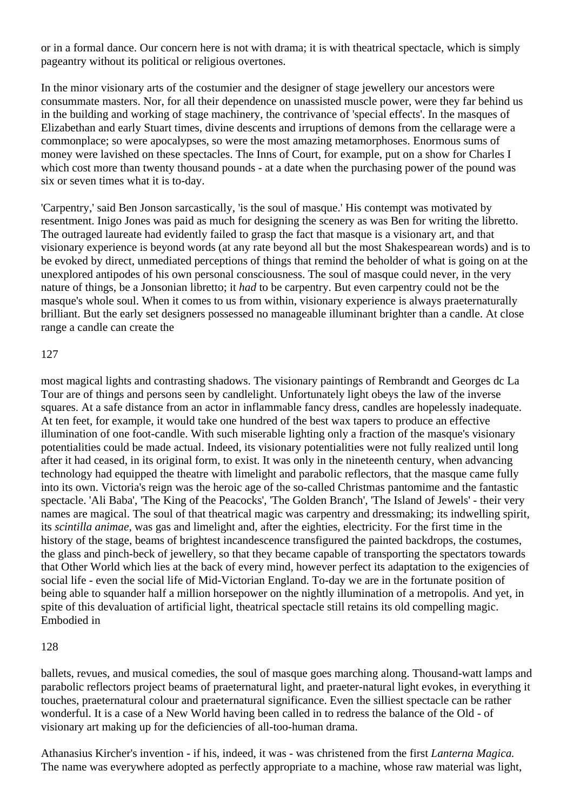or in a formal dance. Our concern here is not with drama; it is with theatrical spectacle, which is simply pageantry without its political or religious overtones.

In the minor visionary arts of the costumier and the designer of stage jewellery our ancestors were consummate masters. Nor, for all their dependence on unassisted muscle power, were they far behind us in the building and working of stage machinery, the contrivance of 'special effects'. In the masques of Elizabethan and early Stuart times, divine descents and irruptions of demons from the cellarage were a commonplace; so were apocalypses, so were the most amazing metamorphoses. Enormous sums of money were lavished on these spectacles. The Inns of Court, for example, put on a show for Charles I which cost more than twenty thousand pounds - at a date when the purchasing power of the pound was six or seven times what it is to-day.

'Carpentry,' said Ben Jonson sarcastically, 'is the soul of masque.' His contempt was motivated by resentment. Inigo Jones was paid as much for designing the scenery as was Ben for writing the libretto. The outraged laureate had evidently failed to grasp the fact that masque is a visionary art, and that visionary experience is beyond words (at any rate beyond all but the most Shakespearean words) and is to be evoked by direct, unmediated perceptions of things that remind the beholder of what is going on at the unexplored antipodes of his own personal consciousness. The soul of masque could never, in the very nature of things, be a Jonsonian libretto; it *had* to be carpentry. But even carpentry could not be the masque's whole soul. When it comes to us from within, visionary experience is always praeternaturally brilliant. But the early set designers possessed no manageable illuminant brighter than a candle. At close range a candle can create the

#### 127

most magical lights and contrasting shadows. The visionary paintings of Rembrandt and Georges dc La Tour are of things and persons seen by candlelight. Unfortunately light obeys the law of the inverse squares. At a safe distance from an actor in inflammable fancy dress, candles are hopelessly inadequate. At ten feet, for example, it would take one hundred of the best wax tapers to produce an effective illumination of one foot-candle. With such miserable lighting only a fraction of the masque's visionary potentialities could be made actual. Indeed, its visionary potentialities were not fully realized until long after it had ceased, in its original form, to exist. It was only in the nineteenth century, when advancing technology had equipped the theatre with limelight and parabolic reflectors, that the masque came fully into its own. Victoria's reign was the heroic age of the so-called Christmas pantomime and the fantastic spectacle. 'Ali Baba', 'The King of the Peacocks', 'The Golden Branch', 'The Island of Jewels' - their very names are magical. The soul of that theatrical magic was carpentry and dressmaking; its indwelling spirit, its *scintilla animae,* was gas and limelight and, after the eighties, electricity. For the first time in the history of the stage, beams of brightest incandescence transfigured the painted backdrops, the costumes, the glass and pinch-beck of jewellery, so that they became capable of transporting the spectators towards that Other World which lies at the back of every mind, however perfect its adaptation to the exigencies of social life - even the social life of Mid-Victorian England. To-day we are in the fortunate position of being able to squander half a million horsepower on the nightly illumination of a metropolis. And yet, in spite of this devaluation of artificial light, theatrical spectacle still retains its old compelling magic. Embodied in

#### 128

ballets, revues, and musical comedies, the soul of masque goes marching along. Thousand-watt lamps and parabolic reflectors project beams of praeternatural light, and praeter-natural light evokes, in everything it touches, praeternatural colour and praeternatural significance. Even the silliest spectacle can be rather wonderful. It is a case of a New World having been called in to redress the balance of the Old - of visionary art making up for the deficiencies of all-too-human drama.

Athanasius Kircher's invention - if his, indeed, it was - was christened from the first *Lanterna Magica.*  The name was everywhere adopted as perfectly appropriate to a machine, whose raw material was light,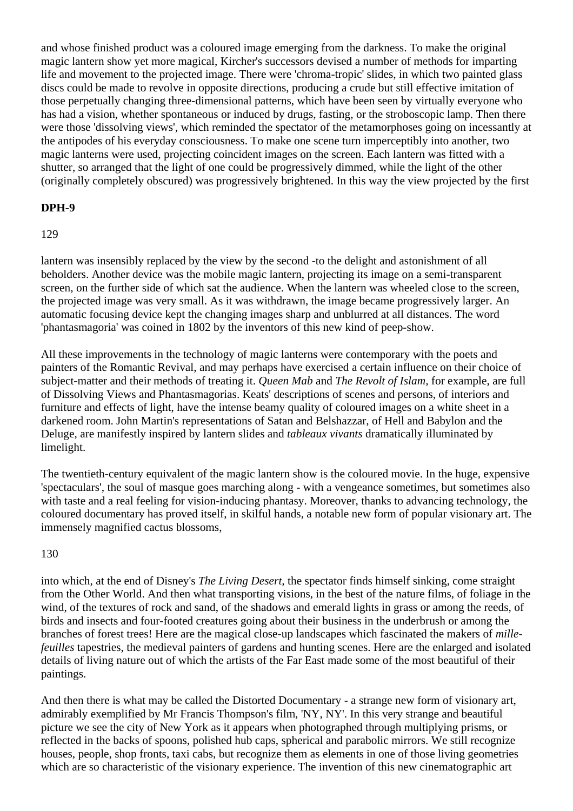and whose finished product was a coloured image emerging from the darkness. To make the original magic lantern show yet more magical, Kircher's successors devised a number of methods for imparting life and movement to the projected image. There were 'chroma-tropic' slides, in which two painted glass discs could be made to revolve in opposite directions, producing a crude but still effective imitation of those perpetually changing three-dimensional patterns, which have been seen by virtually everyone who has had a vision, whether spontaneous or induced by drugs, fasting, or the stroboscopic lamp. Then there were those 'dissolving views', which reminded the spectator of the metamorphoses going on incessantly at the antipodes of his everyday consciousness. To make one scene turn imperceptibly into another, two magic lanterns were used, projecting coincident images on the screen. Each lantern was fitted with a shutter, so arranged that the light of one could be progressively dimmed, while the light of the other (originally completely obscured) was progressively brightened. In this way the view projected by the first

# **DPH-9**

#### 129

lantern was insensibly replaced by the view by the second -to the delight and astonishment of all beholders. Another device was the mobile magic lantern, projecting its image on a semi-transparent screen, on the further side of which sat the audience. When the lantern was wheeled close to the screen, the projected image was very small. As it was withdrawn, the image became progressively larger. An automatic focusing device kept the changing images sharp and unblurred at all distances. The word 'phantasmagoria' was coined in 1802 by the inventors of this new kind of peep-show.

All these improvements in the technology of magic lanterns were contemporary with the poets and painters of the Romantic Revival, and may perhaps have exercised a certain influence on their choice of subject-matter and their methods of treating it. *Queen Mab* and *The Revolt of Islam,* for example, are full of Dissolving Views and Phantasmagorias. Keats' descriptions of scenes and persons, of interiors and furniture and effects of light, have the intense beamy quality of coloured images on a white sheet in a darkened room. John Martin's representations of Satan and Belshazzar, of Hell and Babylon and the Deluge, are manifestly inspired by lantern slides and *tableaux vivants* dramatically illuminated by limelight.

The twentieth-century equivalent of the magic lantern show is the coloured movie. In the huge, expensive 'spectaculars', the soul of masque goes marching along - with a vengeance sometimes, but sometimes also with taste and a real feeling for vision-inducing phantasy. Moreover, thanks to advancing technology, the coloured documentary has proved itself, in skilful hands, a notable new form of popular visionary art. The immensely magnified cactus blossoms,

#### 130

into which, at the end of Disney's *The Living Desert,* the spectator finds himself sinking, come straight from the Other World. And then what transporting visions, in the best of the nature films, of foliage in the wind, of the textures of rock and sand, of the shadows and emerald lights in grass or among the reeds, of birds and insects and four-footed creatures going about their business in the underbrush or among the branches of forest trees! Here are the magical close-up landscapes which fascinated the makers of *millefeuilles* tapestries, the medieval painters of gardens and hunting scenes. Here are the enlarged and isolated details of living nature out of which the artists of the Far East made some of the most beautiful of their paintings.

And then there is what may be called the Distorted Documentary - a strange new form of visionary art, admirably exemplified by Mr Francis Thompson's film, 'NY, NY'. In this very strange and beautiful picture we see the city of New York as it appears when photographed through multiplying prisms, or reflected in the backs of spoons, polished hub caps, spherical and parabolic mirrors. We still recognize houses, people, shop fronts, taxi cabs, but recognize them as elements in one of those living geometries which are so characteristic of the visionary experience. The invention of this new cinematographic art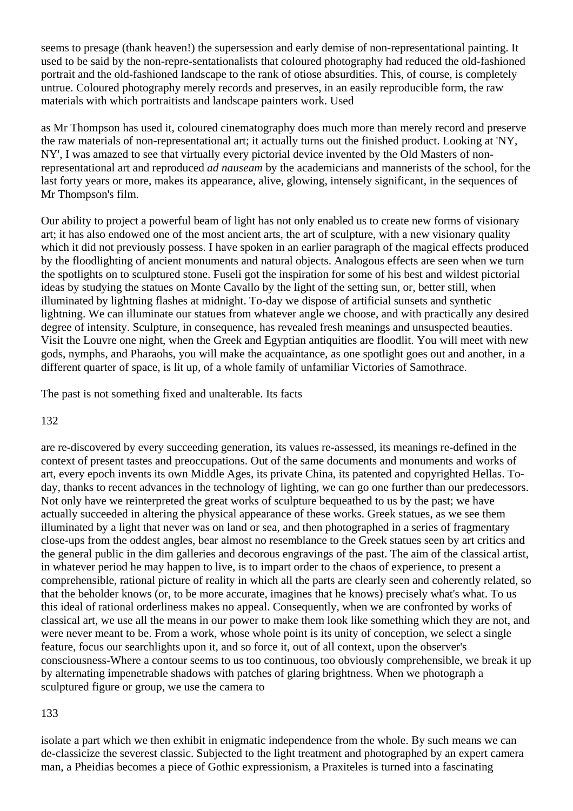seems to presage (thank heaven!) the supersession and early demise of non-representational painting. It used to be said by the non-repre-sentationalists that coloured photography had reduced the old-fashioned portrait and the old-fashioned landscape to the rank of otiose absurdities. This, of course, is completely untrue. Coloured photography merely records and preserves, in an easily reproducible form, the raw materials with which portraitists and landscape painters work. Used

as Mr Thompson has used it, coloured cinematography does much more than merely record and preserve the raw materials of non-representational art; it actually turns out the finished product. Looking at 'NY, NY', I was amazed to see that virtually every pictorial device invented by the Old Masters of nonrepresentational art and reproduced *ad nauseam* by the academicians and mannerists of the school, for the last forty years or more, makes its appearance, alive, glowing, intensely significant, in the sequences of Mr Thompson's film.

Our ability to project a powerful beam of light has not only enabled us to create new forms of visionary art; it has also endowed one of the most ancient arts, the art of sculpture, with a new visionary quality which it did not previously possess. I have spoken in an earlier paragraph of the magical effects produced by the floodlighting of ancient monuments and natural objects. Analogous effects are seen when we turn the spotlights on to sculptured stone. Fuseli got the inspiration for some of his best and wildest pictorial ideas by studying the statues on Monte Cavallo by the light of the setting sun, or, better still, when illuminated by lightning flashes at midnight. To-day we dispose of artificial sunsets and synthetic lightning. We can illuminate our statues from whatever angle we choose, and with practically any desired degree of intensity. Sculpture, in consequence, has revealed fresh meanings and unsuspected beauties. Visit the Louvre one night, when the Greek and Egyptian antiquities are floodlit. You will meet with new gods, nymphs, and Pharaohs, you will make the acquaintance, as one spotlight goes out and another, in a different quarter of space, is lit up, of a whole family of unfamiliar Victories of Samothrace.

The past is not something fixed and unalterable. Its facts

132

are re-discovered by every succeeding generation, its values re-assessed, its meanings re-defined in the context of present tastes and preoccupations. Out of the same documents and monuments and works of art, every epoch invents its own Middle Ages, its private China, its patented and copyrighted Hellas. Today, thanks to recent advances in the technology of lighting, we can go one further than our predecessors. Not only have we reinterpreted the great works of sculpture bequeathed to us by the past; we have actually succeeded in altering the physical appearance of these works. Greek statues, as we see them illuminated by a light that never was on land or sea, and then photographed in a series of fragmentary close-ups from the oddest angles, bear almost no resemblance to the Greek statues seen by art critics and the general public in the dim galleries and decorous engravings of the past. The aim of the classical artist, in whatever period he may happen to live, is to impart order to the chaos of experience, to present a comprehensible, rational picture of reality in which all the parts are clearly seen and coherently related, so that the beholder knows (or, to be more accurate, imagines that he knows) precisely what's what. To us this ideal of rational orderliness makes no appeal. Consequently, when we are confronted by works of classical art, we use all the means in our power to make them look like something which they are not, and were never meant to be. From a work, whose whole point is its unity of conception, we select a single feature, focus our searchlights upon it, and so force it, out of all context, upon the observer's consciousness-Where a contour seems to us too continuous, too obviously comprehensible, we break it up by alternating impenetrable shadows with patches of glaring brightness. When we photograph a sculptured figure or group, we use the camera to

#### 133

isolate a part which we then exhibit in enigmatic independence from the whole. By such means we can de-classicize the severest classic. Subjected to the light treatment and photographed by an expert camera man, a Pheidias becomes a piece of Gothic expressionism, a Praxiteles is turned into a fascinating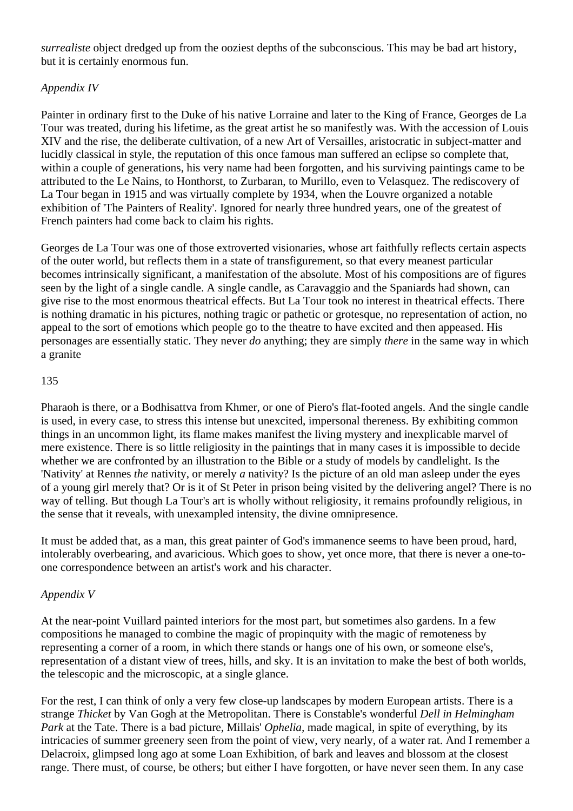*surrealiste* object dredged up from the ooziest depths of the subconscious. This may be bad art history, but it is certainly enormous fun.

# *Appendix IV*

Painter in ordinary first to the Duke of his native Lorraine and later to the King of France, Georges de La Tour was treated, during his lifetime, as the great artist he so manifestly was. With the accession of Louis XIV and the rise, the deliberate cultivation, of a new Art of Versailles, aristocratic in subject-matter and lucidly classical in style, the reputation of this once famous man suffered an eclipse so complete that, within a couple of generations, his very name had been forgotten, and his surviving paintings came to be attributed to the Le Nains, to Honthorst, to Zurbaran, to Murillo, even to Velasquez. The rediscovery of La Tour began in 1915 and was virtually complete by 1934, when the Louvre organized a notable exhibition of 'The Painters of Reality'. Ignored for nearly three hundred years, one of the greatest of French painters had come back to claim his rights.

Georges de La Tour was one of those extroverted visionaries, whose art faithfully reflects certain aspects of the outer world, but reflects them in a state of transfigurement, so that every meanest particular becomes intrinsically significant, a manifestation of the absolute. Most of his compositions are of figures seen by the light of a single candle. A single candle, as Caravaggio and the Spaniards had shown, can give rise to the most enormous theatrical effects. But La Tour took no interest in theatrical effects. There is nothing dramatic in his pictures, nothing tragic or pathetic or grotesque, no representation of action, no appeal to the sort of emotions which people go to the theatre to have excited and then appeased. His personages are essentially static. They never *do* anything; they are simply *there* in the same way in which a granite

#### 135

Pharaoh is there, or a Bodhisattva from Khmer, or one of Piero's flat-footed angels. And the single candle is used, in every case, to stress this intense but unexcited, impersonal thereness. By exhibiting common things in an uncommon light, its flame makes manifest the living mystery and inexplicable marvel of mere existence. There is so little religiosity in the paintings that in many cases it is impossible to decide whether we are confronted by an illustration to the Bible or a study of models by candlelight. Is the 'Nativity' at Rennes *the* nativity, or merely *a* nativity? Is the picture of an old man asleep under the eyes of a young girl merely that? Or is it of St Peter in prison being visited by the delivering angel? There is no way of telling. But though La Tour's art is wholly without religiosity, it remains profoundly religious, in the sense that it reveals, with unexampled intensity, the divine omnipresence.

It must be added that, as a man, this great painter of God's immanence seems to have been proud, hard, intolerably overbearing, and avaricious. Which goes to show, yet once more, that there is never a one-toone correspondence between an artist's work and his character.

# *Appendix V*

At the near-point Vuillard painted interiors for the most part, but sometimes also gardens. In a few compositions he managed to combine the magic of propinquity with the magic of remoteness by representing a corner of a room, in which there stands or hangs one of his own, or someone else's, representation of a distant view of trees, hills, and sky. It is an invitation to make the best of both worlds, the telescopic and the microscopic, at a single glance.

For the rest, I can think of only a very few close-up landscapes by modern European artists. There is a strange *Thicket* by Van Gogh at the Metropolitan. There is Constable's wonderful *Dell in Helmingham Park* at the Tate. There is a bad picture, Millais' *Ophelia,* made magical, in spite of everything, by its intricacies of summer greenery seen from the point of view, very nearly, of a water rat. And I remember a Delacroix, glimpsed long ago at some Loan Exhibition, of bark and leaves and blossom at the closest range. There must, of course, be others; but either I have forgotten, or have never seen them. In any case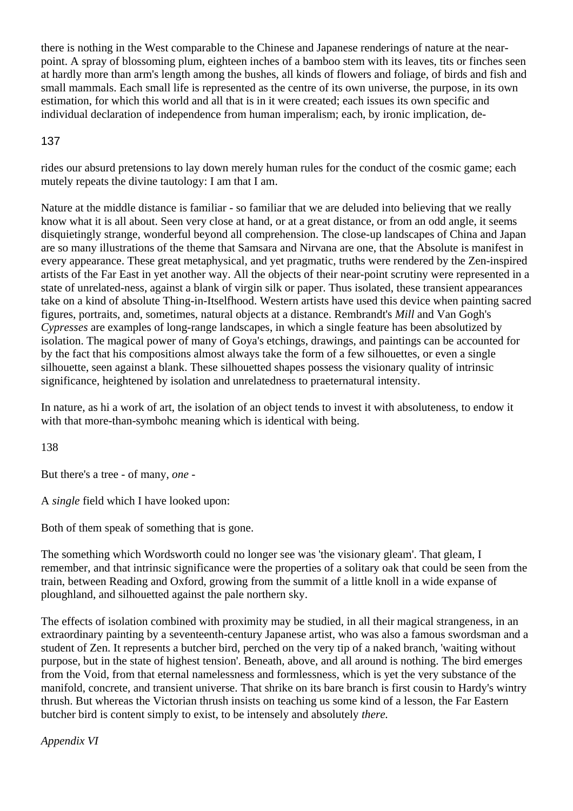there is nothing in the West comparable to the Chinese and Japanese renderings of nature at the nearpoint. A spray of blossoming plum, eighteen inches of a bamboo stem with its leaves, tits or finches seen at hardly more than arm's length among the bushes, all kinds of flowers and foliage, of birds and fish and small mammals. Each small life is represented as the centre of its own universe, the purpose, in its own estimation, for which this world and all that is in it were created; each issues its own specific and individual declaration of independence from human imperalism; each, by ironic implication, de-

# 137

rides our absurd pretensions to lay down merely human rules for the conduct of the cosmic game; each mutely repeats the divine tautology: I am that I am.

Nature at the middle distance is familiar - so familiar that we are deluded into believing that we really know what it is all about. Seen very close at hand, or at a great distance, or from an odd angle, it seems disquietingly strange, wonderful beyond all comprehension. The close-up landscapes of China and Japan are so many illustrations of the theme that Samsara and Nirvana are one, that the Absolute is manifest in every appearance. These great metaphysical, and yet pragmatic, truths were rendered by the Zen-inspired artists of the Far East in yet another way. All the objects of their near-point scrutiny were represented in a state of unrelated-ness, against a blank of virgin silk or paper. Thus isolated, these transient appearances take on a kind of absolute Thing-in-Itselfhood. Western artists have used this device when painting sacred figures, portraits, and, sometimes, natural objects at a distance. Rembrandt's *Mill* and Van Gogh's *Cypresses* are examples of long-range landscapes, in which a single feature has been absolutized by isolation. The magical power of many of Goya's etchings, drawings, and paintings can be accounted for by the fact that his compositions almost always take the form of a few silhouettes, or even a single silhouette, seen against a blank. These silhouetted shapes possess the visionary quality of intrinsic significance, heightened by isolation and unrelatedness to praeternatural intensity.

In nature, as hi a work of art, the isolation of an object tends to invest it with absoluteness, to endow it with that more-than-symbohc meaning which is identical with being.

138

But there's a tree - of many, *one -*

A *single* field which I have looked upon:

Both of them speak of something that is gone.

The something which Wordsworth could no longer see was 'the visionary gleam'. That gleam, I remember, and that intrinsic significance were the properties of a solitary oak that could be seen from the train, between Reading and Oxford, growing from the summit of a little knoll in a wide expanse of ploughland, and silhouetted against the pale northern sky.

The effects of isolation combined with proximity may be studied, in all their magical strangeness, in an extraordinary painting by a seventeenth-century Japanese artist, who was also a famous swordsman and a student of Zen. It represents a butcher bird, perched on the very tip of a naked branch, 'waiting without purpose, but in the state of highest tension'. Beneath, above, and all around is nothing. The bird emerges from the Void, from that eternal namelessness and formlessness, which is yet the very substance of the manifold, concrete, and transient universe. That shrike on its bare branch is first cousin to Hardy's wintry thrush. But whereas the Victorian thrush insists on teaching us some kind of a lesson, the Far Eastern butcher bird is content simply to exist, to be intensely and absolutely *there.*

*Appendix VI*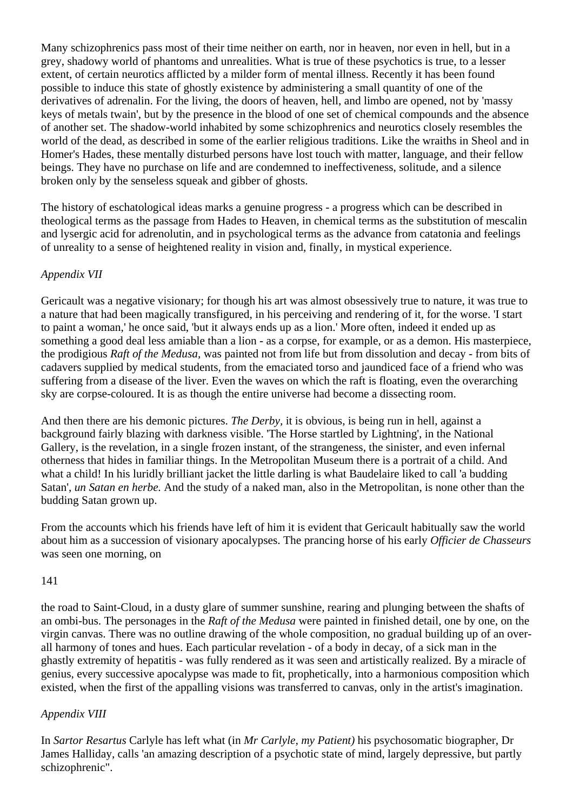Many schizophrenics pass most of their time neither on earth, nor in heaven, nor even in hell, but in a grey, shadowy world of phantoms and unrealities. What is true of these psychotics is true, to a lesser extent, of certain neurotics afflicted by a milder form of mental illness. Recently it has been found possible to induce this state of ghostly existence by administering a small quantity of one of the derivatives of adrenalin. For the living, the doors of heaven, hell, and limbo are opened, not by 'massy keys of metals twain', but by the presence in the blood of one set of chemical compounds and the absence of another set. The shadow-world inhabited by some schizophrenics and neurotics closely resembles the world of the dead, as described in some of the earlier religious traditions. Like the wraiths in Sheol and in Homer's Hades, these mentally disturbed persons have lost touch with matter, language, and their fellow beings. They have no purchase on life and are condemned to ineffectiveness, solitude, and a silence broken only by the senseless squeak and gibber of ghosts.

The history of eschatological ideas marks a genuine progress - a progress which can be described in theological terms as the passage from Hades to Heaven, in chemical terms as the substitution of mescalin and lysergic acid for adrenolutin, and in psychological terms as the advance from catatonia and feelings of unreality to a sense of heightened reality in vision and, finally, in mystical experience.

# *Appendix VII*

Gericault was a negative visionary; for though his art was almost obsessively true to nature, it was true to a nature that had been magically transfigured, in his perceiving and rendering of it, for the worse. 'I start to paint a woman,' he once said, 'but it always ends up as a lion.' More often, indeed it ended up as something a good deal less amiable than a lion - as a corpse, for example, or as a demon. His masterpiece, the prodigious *Raft of the Medusa,* was painted not from life but from dissolution and decay - from bits of cadavers supplied by medical students, from the emaciated torso and jaundiced face of a friend who was suffering from a disease of the liver. Even the waves on which the raft is floating, even the overarching sky are corpse-coloured. It is as though the entire universe had become a dissecting room.

And then there are his demonic pictures. *The Derby,* it is obvious, is being run in hell, against a background fairly blazing with darkness visible. 'The Horse startled by Lightning', in the National Gallery, is the revelation, in a single frozen instant, of the strangeness, the sinister, and even infernal otherness that hides in familiar things. In the Metropolitan Museum there is a portrait of a child. And what a child! In his luridly brilliant jacket the little darling is what Baudelaire liked to call 'a budding Satan', *un Satan en herbe.* And the study of a naked man, also in the Metropolitan, is none other than the budding Satan grown up.

From the accounts which his friends have left of him it is evident that Gericault habitually saw the world about him as a succession of visionary apocalypses. The prancing horse of his early *Officier de Chasseurs*  was seen one morning, on

#### 141

the road to Saint-Cloud, in a dusty glare of summer sunshine, rearing and plunging between the shafts of an ombi-bus. The personages in the *Raft of the Medusa* were painted in finished detail, one by one, on the virgin canvas. There was no outline drawing of the whole composition, no gradual building up of an overall harmony of tones and hues. Each particular revelation - of a body in decay, of a sick man in the ghastly extremity of hepatitis - was fully rendered as it was seen and artistically realized. By a miracle of genius, every successive apocalypse was made to fit, prophetically, into a harmonious composition which existed, when the first of the appalling visions was transferred to canvas, only in the artist's imagination.

# *Appendix VIII*

In *Sartor Resartus* Carlyle has left what (in *Mr Carlyle, my Patient)* his psychosomatic biographer, Dr James Halliday, calls 'an amazing description of a psychotic state of mind, largely depressive, but partly schizophrenic".